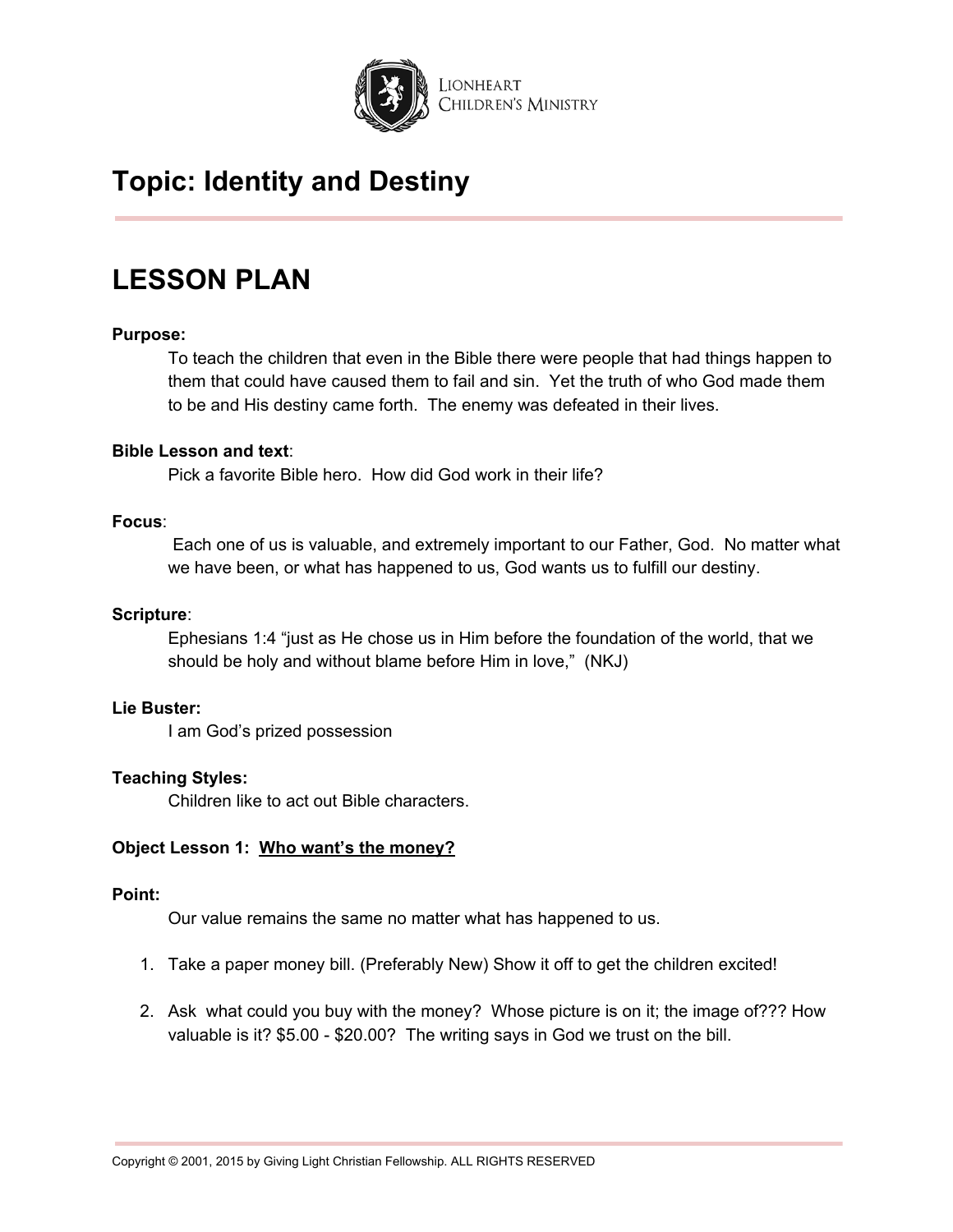

## **LESSON PLAN**

### **Purpose:**

To teach the children that even in the Bible there were people that had things happen to them that could have caused them to fail and sin. Yet the truth of who God made them to be and His destiny came forth. The enemy was defeated in their lives.

#### **Bible Lesson and text**:

Pick a favorite Bible hero. How did God work in their life?

#### **Focus**:

Each one of us is valuable, and extremely important to our Father, God. No matter what we have been, or what has happened to us, God wants us to fulfill our destiny.

### **Scripture**:

Ephesians 1:4 "just as He chose us in Him before the foundation of the world, that we should be holy and without blame before Him in love," (NKJ)

#### **Lie Buster:**

I am God's prized possession

### **Teaching Styles:**

Children like to act out Bible characters.

### **Object Lesson 1: Who want's the money?**

### **Point:**

Our value remains the same no matter what has happened to us.

- 1. Take a paper money bill. (Preferably New) Show it off to get the children excited!
- 2. Ask what could you buy with the money? Whose picture is on it; the image of??? How valuable is it? \$5.00 - \$20.00? The writing says in God we trust on the bill.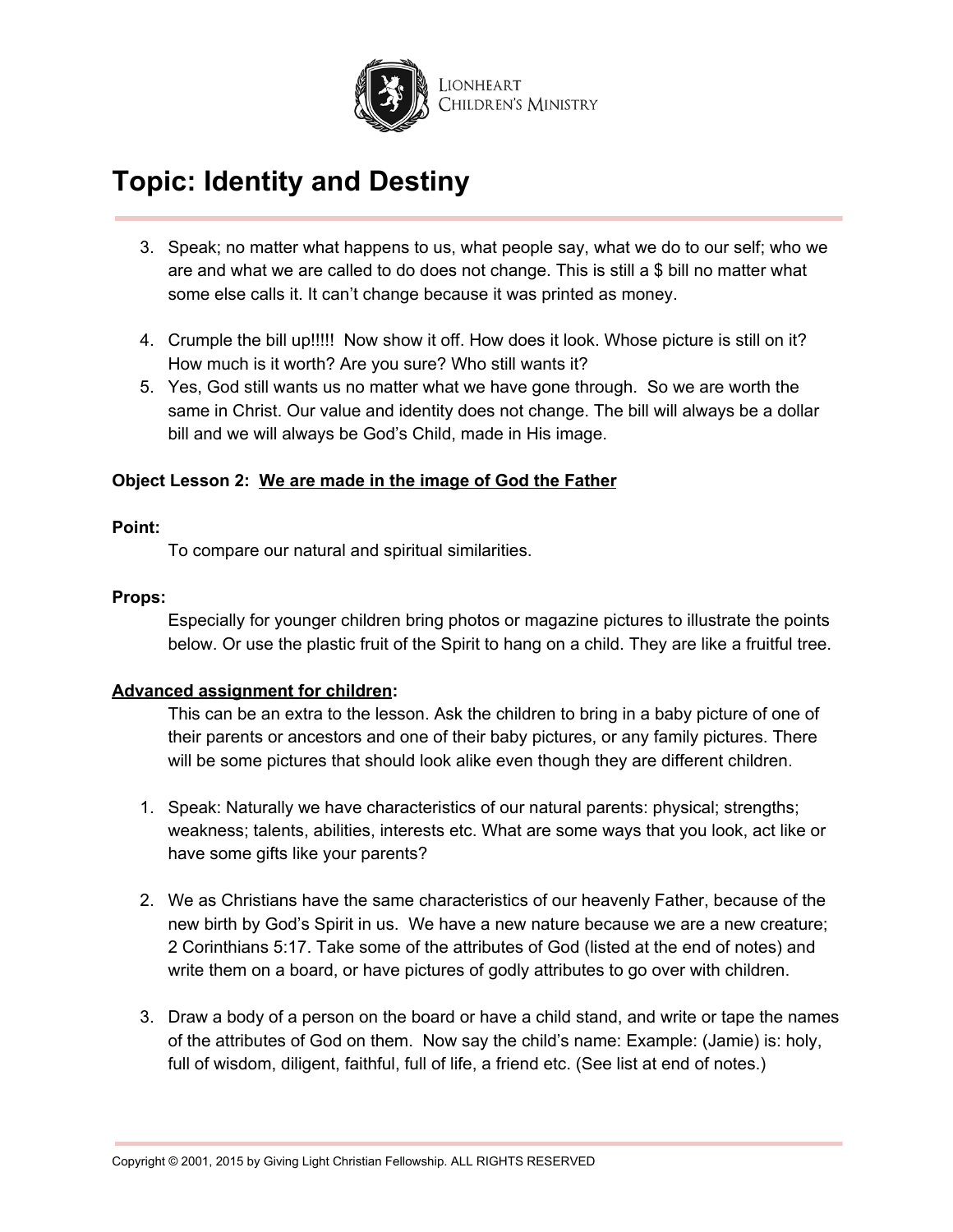

- 3. Speak; no matter what happens to us, what people say, what we do to our self; who we are and what we are called to do does not change. This is still a \$ bill no matter what some else calls it. It can't change because it was printed as money.
- 4. Crumple the bill up!!!!! Now show it off. How does it look. Whose picture is still on it? How much is it worth? Are you sure? Who still wants it?
- 5. Yes, God still wants us no matter what we have gone through. So we are worth the same in Christ. Our value and identity does not change. The bill will always be a dollar bill and we will always be God's Child, made in His image.

## **Object Lesson 2: We are made in the image of God the Father**

### **Point:**

To compare our natural and spiritual similarities.

### **Props:**

Especially for younger children bring photos or magazine pictures to illustrate the points below. Or use the plastic fruit of the Spirit to hang on a child. They are like a fruitful tree.

## **Advanced assignment for children:**

This can be an extra to the lesson. Ask the children to bring in a baby picture of one of their parents or ancestors and one of their baby pictures, or any family pictures. There will be some pictures that should look alike even though they are different children.

- 1. Speak: Naturally we have characteristics of our natural parents: physical; strengths; weakness; talents, abilities, interests etc. What are some ways that you look, act like or have some gifts like your parents?
- 2. We as Christians have the same characteristics of our heavenly Father, because of the new birth by God's Spirit in us. We have a new nature because we are a new creature; 2 Corinthians 5:17. Take some of the attributes of God (listed at the end of notes) and write them on a board, or have pictures of godly attributes to go over with children.
- 3. Draw a body of a person on the board or have a child stand, and write or tape the names of the attributes of God on them. Now say the child's name: Example: (Jamie) is: holy, full of wisdom, diligent, faithful, full of life, a friend etc. (See list at end of notes.)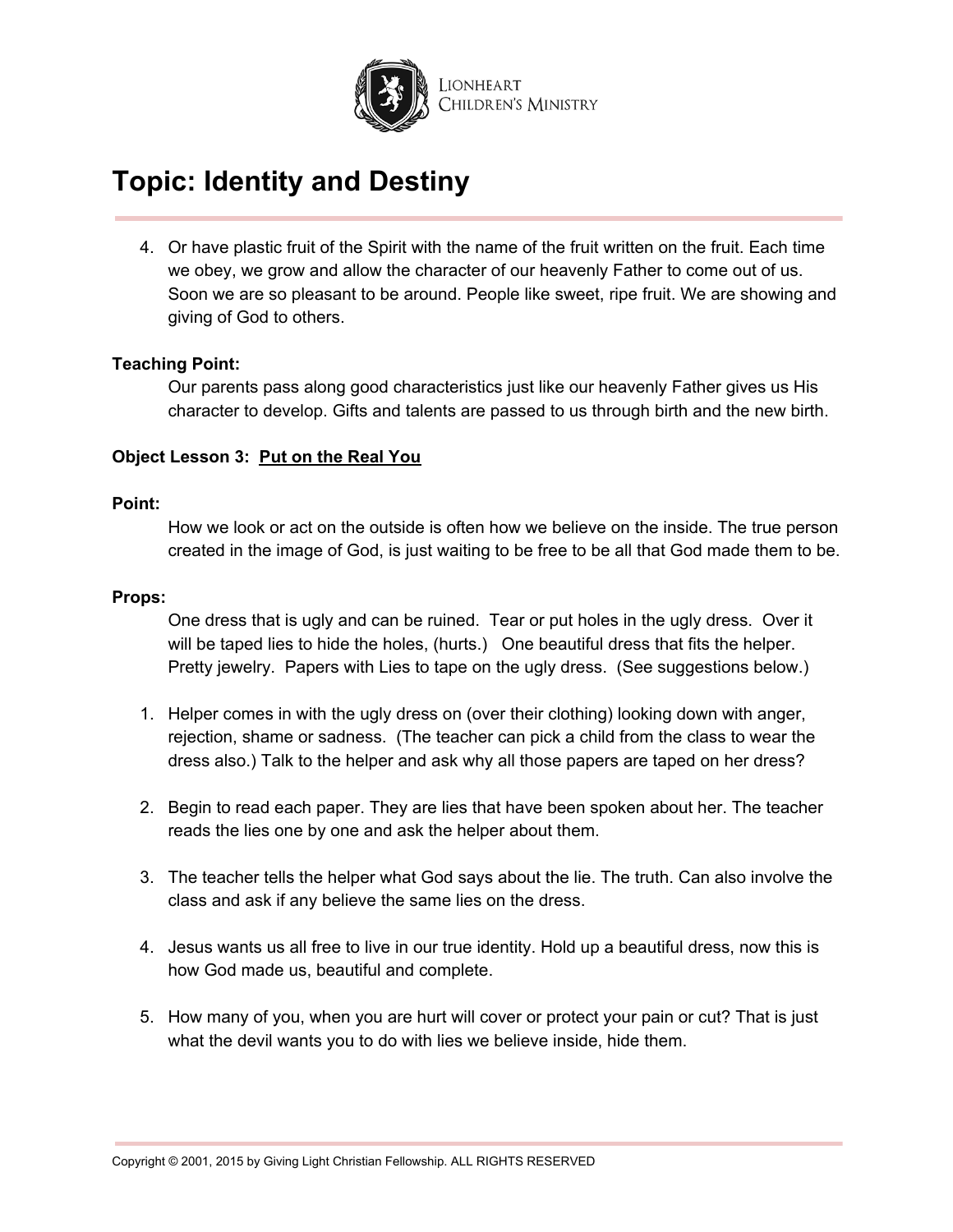

4. Or have plastic fruit of the Spirit with the name of the fruit written on the fruit. Each time we obey, we grow and allow the character of our heavenly Father to come out of us. Soon we are so pleasant to be around. People like sweet, ripe fruit. We are showing and giving of God to others.

### **Teaching Point:**

Our parents pass along good characteristics just like our heavenly Father gives us His character to develop. Gifts and talents are passed to us through birth and the new birth.

### **Object Lesson 3: Put on the Real You**

#### **Point:**

How we look or act on the outside is often how we believe on the inside. The true person created in the image of God, is just waiting to be free to be all that God made them to be.

#### **Props:**

One dress that is ugly and can be ruined. Tear or put holes in the ugly dress. Over it will be taped lies to hide the holes, (hurts.) One beautiful dress that fits the helper. Pretty jewelry. Papers with Lies to tape on the ugly dress. (See suggestions below.)

- 1. Helper comes in with the ugly dress on (over their clothing) looking down with anger, rejection, shame or sadness. (The teacher can pick a child from the class to wear the dress also.) Talk to the helper and ask why all those papers are taped on her dress?
- 2. Begin to read each paper. They are lies that have been spoken about her. The teacher reads the lies one by one and ask the helper about them.
- 3. The teacher tells the helper what God says about the lie. The truth. Can also involve the class and ask if any believe the same lies on the dress.
- 4. Jesus wants us all free to live in our true identity. Hold up a beautiful dress, now this is how God made us, beautiful and complete.
- 5. How many of you, when you are hurt will cover or protect your pain or cut? That is just what the devil wants you to do with lies we believe inside, hide them.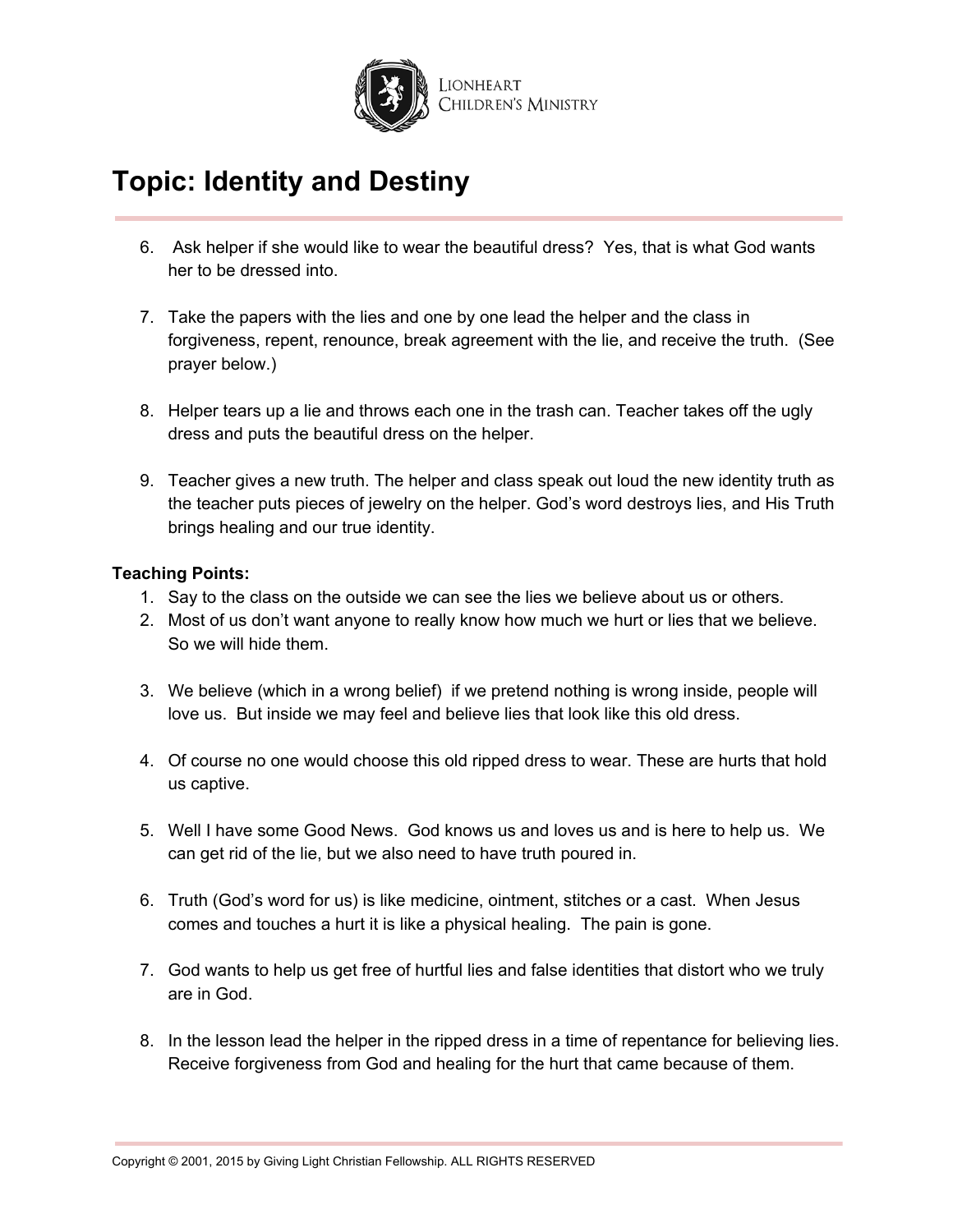

- 6. Ask helper if she would like to wear the beautiful dress? Yes, that is what God wants her to be dressed into.
- 7. Take the papers with the lies and one by one lead the helper and the class in forgiveness, repent, renounce, break agreement with the lie, and receive the truth. (See prayer below.)
- 8. Helper tears up a lie and throws each one in the trash can. Teacher takes off the ugly dress and puts the beautiful dress on the helper.
- 9. Teacher gives a new truth. The helper and class speak out loud the new identity truth as the teacher puts pieces of jewelry on the helper. God's word destroys lies, and His Truth brings healing and our true identity.

## **Teaching Points:**

- 1. Say to the class on the outside we can see the lies we believe about us or others.
- 2. Most of us don't want anyone to really know how much we hurt or lies that we believe. So we will hide them.
- 3. We believe (which in a wrong belief) if we pretend nothing is wrong inside, people will love us. But inside we may feel and believe lies that look like this old dress.
- 4. Of course no one would choose this old ripped dress to wear. These are hurts that hold us captive.
- 5. Well I have some Good News. God knows us and loves us and is here to help us. We can get rid of the lie, but we also need to have truth poured in.
- 6. Truth (God's word for us) is like medicine, ointment, stitches or a cast. When Jesus comes and touches a hurt it is like a physical healing. The pain is gone.
- 7. God wants to help us get free of hurtful lies and false identities that distort who we truly are in God.
- 8. In the lesson lead the helper in the ripped dress in a time of repentance for believing lies. Receive forgiveness from God and healing for the hurt that came because of them.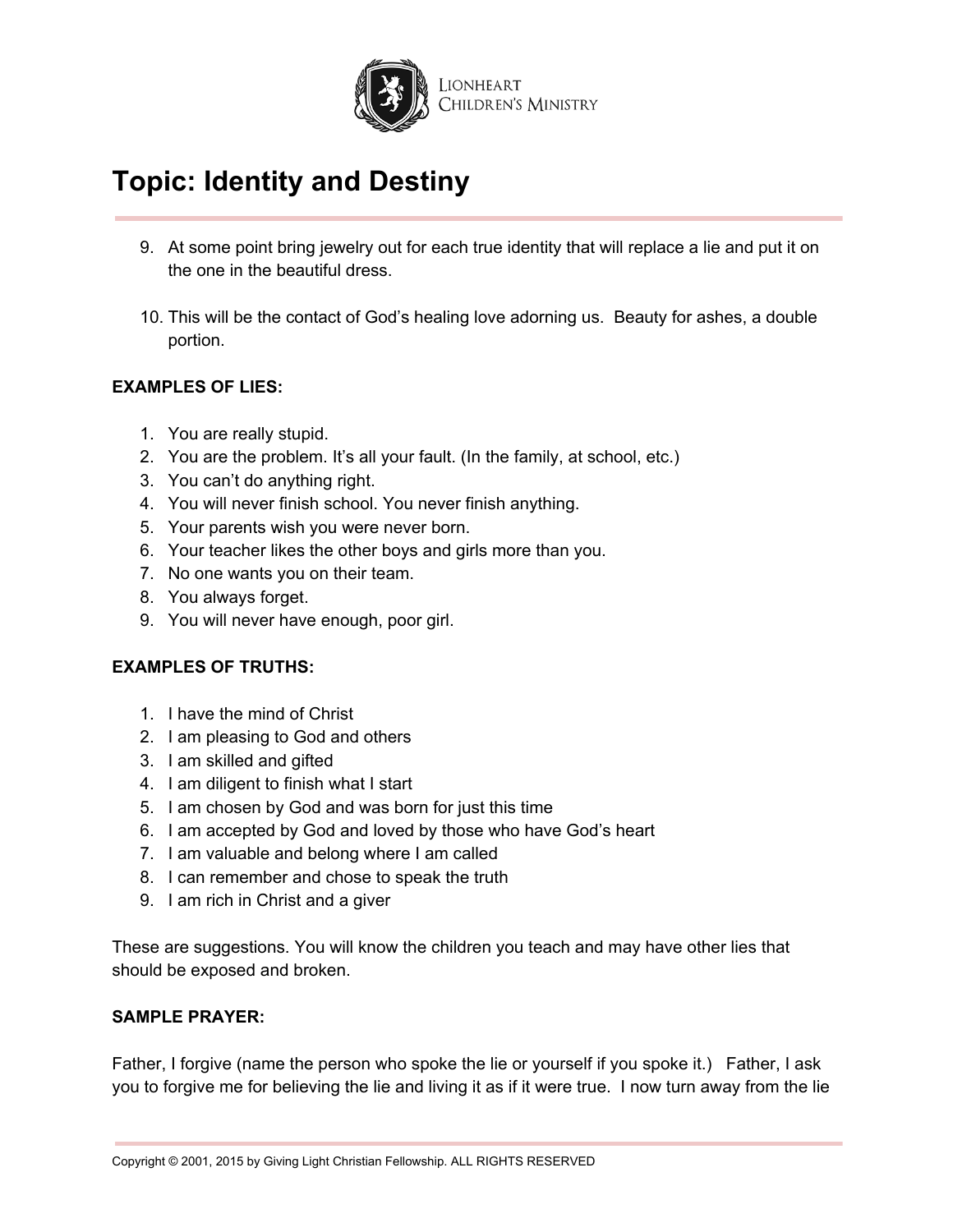

- 9. At some point bring jewelry out for each true identity that will replace a lie and put it on the one in the beautiful dress.
- 10. This will be the contact of God's healing love adorning us. Beauty for ashes, a double portion.

## **EXAMPLES OF LIES:**

- 1. You are really stupid.
- 2. You are the problem. It's all your fault. (In the family, at school, etc.)
- 3. You can't do anything right.
- 4. You will never finish school. You never finish anything.
- 5. Your parents wish you were never born.
- 6. Your teacher likes the other boys and girls more than you.
- 7. No one wants you on their team.
- 8. You always forget.
- 9. You will never have enough, poor girl.

### **EXAMPLES OF TRUTHS:**

- 1. I have the mind of Christ
- 2. I am pleasing to God and others
- 3. I am skilled and gifted
- 4. I am diligent to finish what I start
- 5. I am chosen by God and was born for just this time
- 6. I am accepted by God and loved by those who have God's heart
- 7. I am valuable and belong where I am called
- 8. I can remember and chose to speak the truth
- 9. I am rich in Christ and a giver

These are suggestions. You will know the children you teach and may have other lies that should be exposed and broken.

### **SAMPLE PRAYER:**

Father, I forgive (name the person who spoke the lie or yourself if you spoke it.) Father, I ask you to forgive me for believing the lie and living it as if it were true. I now turn away from the lie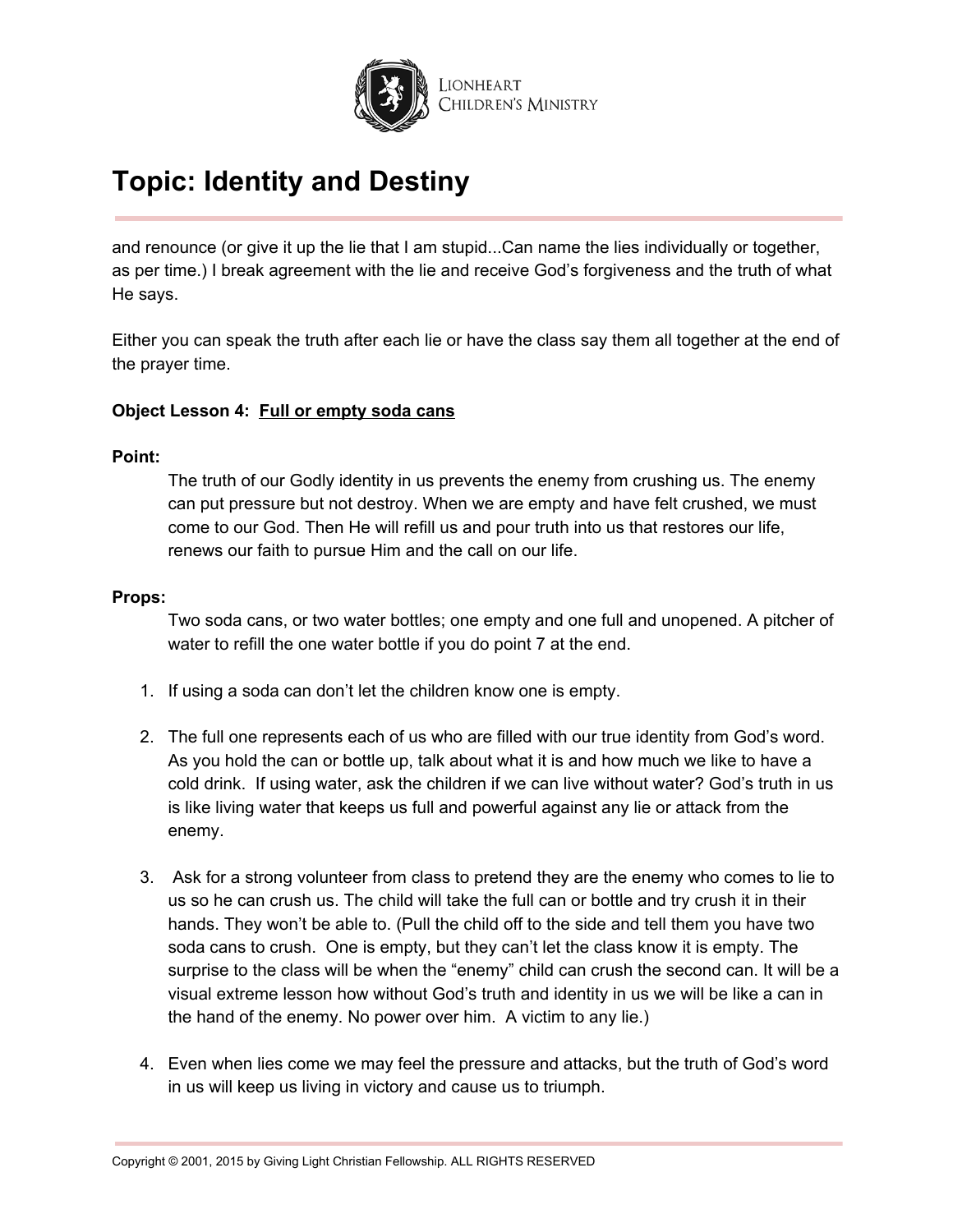

and renounce (or give it up the lie that I am stupid...Can name the lies individually or together, as per time.) I break agreement with the lie and receive God's forgiveness and the truth of what He says.

Either you can speak the truth after each lie or have the class say them all together at the end of the prayer time.

### **Object Lesson 4: Full or empty soda cans**

### **Point:**

The truth of our Godly identity in us prevents the enemy from crushing us. The enemy can put pressure but not destroy. When we are empty and have felt crushed, we must come to our God. Then He will refill us and pour truth into us that restores our life, renews our faith to pursue Him and the call on our life.

### **Props:**

Two soda cans, or two water bottles; one empty and one full and unopened. A pitcher of water to refill the one water bottle if you do point 7 at the end.

- 1. If using a soda can don't let the children know one is empty.
- 2. The full one represents each of us who are filled with our true identity from God's word. As you hold the can or bottle up, talk about what it is and how much we like to have a cold drink. If using water, ask the children if we can live without water? God's truth in us is like living water that keeps us full and powerful against any lie or attack from the enemy.
- 3. Ask for a strong volunteer from class to pretend they are the enemy who comes to lie to us so he can crush us. The child will take the full can or bottle and try crush it in their hands. They won't be able to. (Pull the child off to the side and tell them you have two soda cans to crush. One is empty, but they can't let the class know it is empty. The surprise to the class will be when the "enemy" child can crush the second can. It will be a visual extreme lesson how without God's truth and identity in us we will be like a can in the hand of the enemy. No power over him. A victim to any lie.)
- 4. Even when lies come we may feel the pressure and attacks, but the truth of God's word in us will keep us living in victory and cause us to triumph.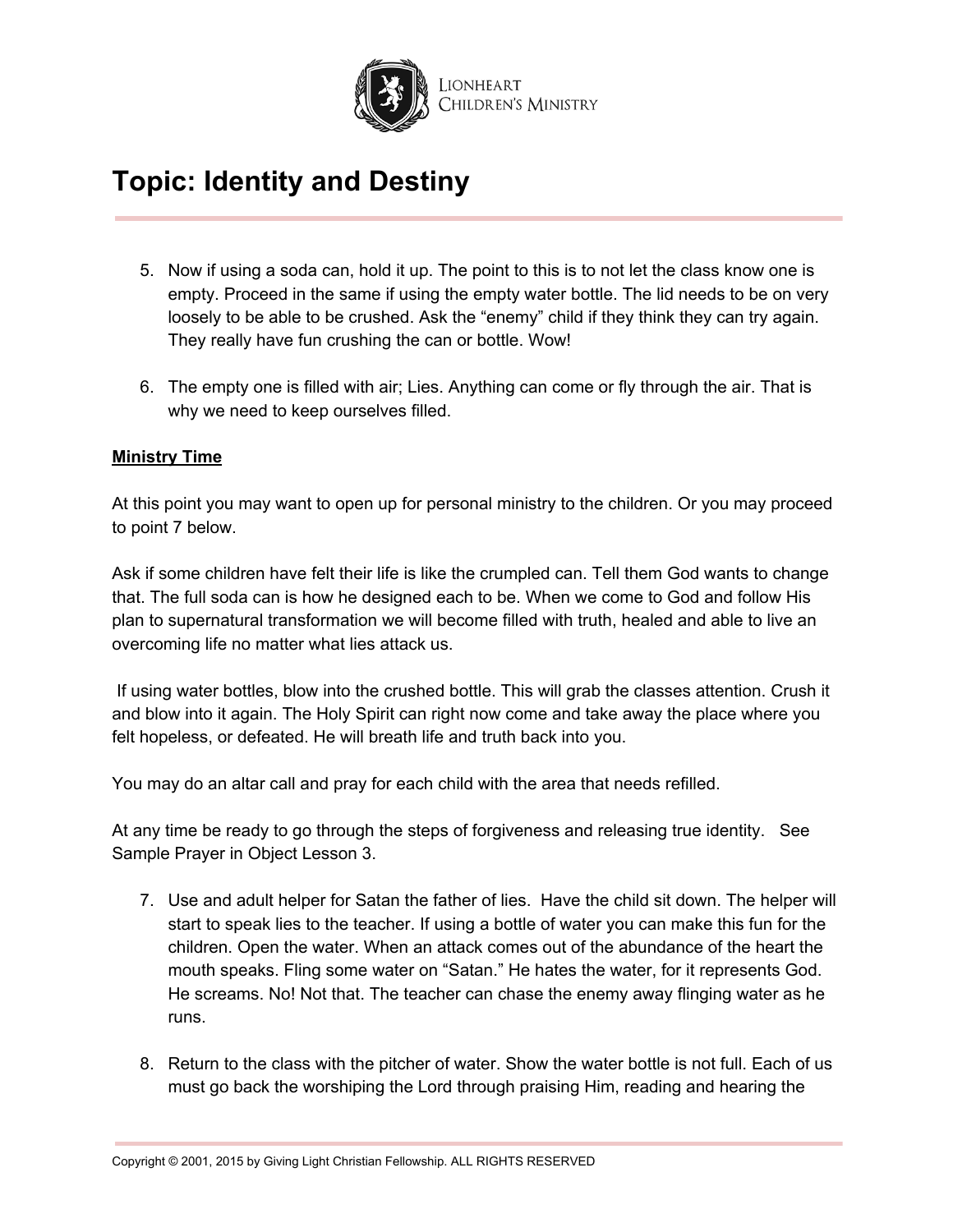

- 5. Now if using a soda can, hold it up. The point to this is to not let the class know one is empty. Proceed in the same if using the empty water bottle. The lid needs to be on very loosely to be able to be crushed. Ask the "enemy" child if they think they can try again. They really have fun crushing the can or bottle. Wow!
- 6. The empty one is filled with air; Lies. Anything can come or fly through the air. That is why we need to keep ourselves filled.

## **Ministry Time**

At this point you may want to open up for personal ministry to the children. Or you may proceed to point 7 below.

Ask if some children have felt their life is like the crumpled can. Tell them God wants to change that. The full soda can is how he designed each to be. When we come to God and follow His plan to supernatural transformation we will become filled with truth, healed and able to live an overcoming life no matter what lies attack us.

If using water bottles, blow into the crushed bottle. This will grab the classes attention. Crush it and blow into it again. The Holy Spirit can right now come and take away the place where you felt hopeless, or defeated. He will breath life and truth back into you.

You may do an altar call and pray for each child with the area that needs refilled.

At any time be ready to go through the steps of forgiveness and releasing true identity. See Sample Prayer in Object Lesson 3.

- 7. Use and adult helper for Satan the father of lies. Have the child sit down. The helper will start to speak lies to the teacher. If using a bottle of water you can make this fun for the children. Open the water. When an attack comes out of the abundance of the heart the mouth speaks. Fling some water on "Satan." He hates the water, for it represents God. He screams. No! Not that. The teacher can chase the enemy away flinging water as he runs.
- 8. Return to the class with the pitcher of water. Show the water bottle is not full. Each of us must go back the worshiping the Lord through praising Him, reading and hearing the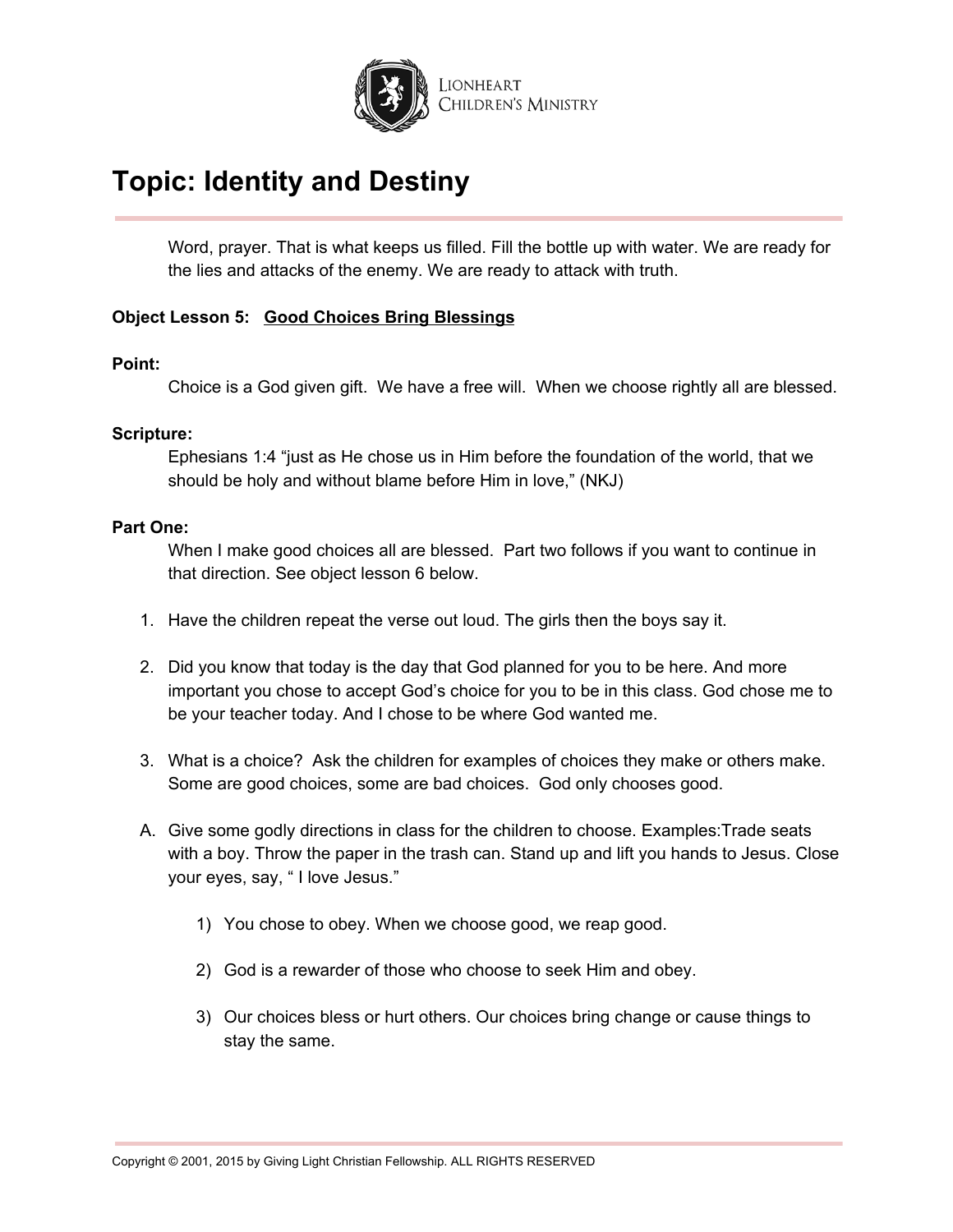

Word, prayer. That is what keeps us filled. Fill the bottle up with water. We are ready for the lies and attacks of the enemy. We are ready to attack with truth.

### **Object Lesson 5: Good Choices Bring Blessings**

### **Point:**

Choice is a God given gift. We have a free will. When we choose rightly all are blessed.

### **Scripture:**

Ephesians 1:4 "just as He chose us in Him before the foundation of the world, that we should be holy and without blame before Him in love," (NKJ)

### **Part One:**

When I make good choices all are blessed. Part two follows if you want to continue in that direction. See object lesson 6 below.

- 1. Have the children repeat the verse out loud. The girls then the boys say it.
- 2. Did you know that today is the day that God planned for you to be here. And more important you chose to accept God's choice for you to be in this class. God chose me to be your teacher today. And I chose to be where God wanted me.
- 3. What is a choice? Ask the children for examples of choices they make or others make. Some are good choices, some are bad choices. God only chooses good.
- A. Give some godly directions in class for the children to choose. Examples:Trade seats with a boy. Throw the paper in the trash can. Stand up and lift you hands to Jesus. Close your eyes, say, " I love Jesus."
	- 1) You chose to obey. When we choose good, we reap good.
	- 2) God is a rewarder of those who choose to seek Him and obey.
	- 3) Our choices bless or hurt others. Our choices bring change or cause things to stay the same.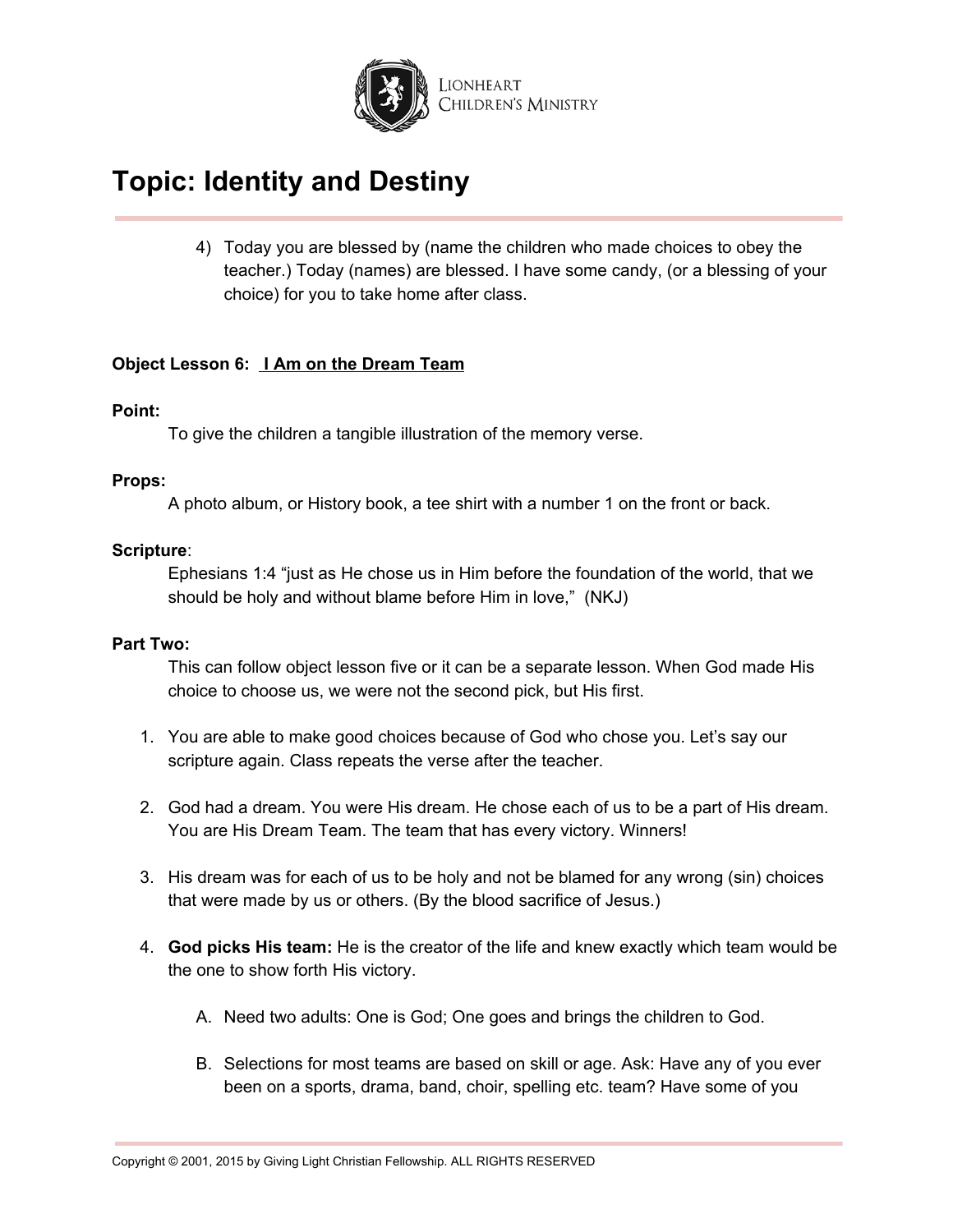

4) Today you are blessed by (name the children who made choices to obey the teacher.) Today (names) are blessed. I have some candy, (or a blessing of your choice) for you to take home after class.

### **Object Lesson 6: I Am on the Dream Team**

### **Point:**

To give the children a tangible illustration of the memory verse.

### **Props:**

A photo album, or History book, a tee shirt with a number 1 on the front or back.

### **Scripture**:

Ephesians 1:4 "just as He chose us in Him before the foundation of the world, that we should be holy and without blame before Him in love," (NKJ)

### **Part Two:**

This can follow object lesson five or it can be a separate lesson. When God made His choice to choose us, we were not the second pick, but His first.

- 1. You are able to make good choices because of God who chose you. Let's say our scripture again. Class repeats the verse after the teacher.
- 2. God had a dream. You were His dream. He chose each of us to be a part of His dream. You are His Dream Team. The team that has every victory. Winners!
- 3. His dream was for each of us to be holy and not be blamed for any wrong (sin) choices that were made by us or others. (By the blood sacrifice of Jesus.)
- 4. **God picks His team:** He is the creator of the life and knew exactly which team would be the one to show forth His victory.
	- A. Need two adults: One is God; One goes and brings the children to God.
	- B. Selections for most teams are based on skill or age. Ask: Have any of you ever been on a sports, drama, band, choir, spelling etc. team? Have some of you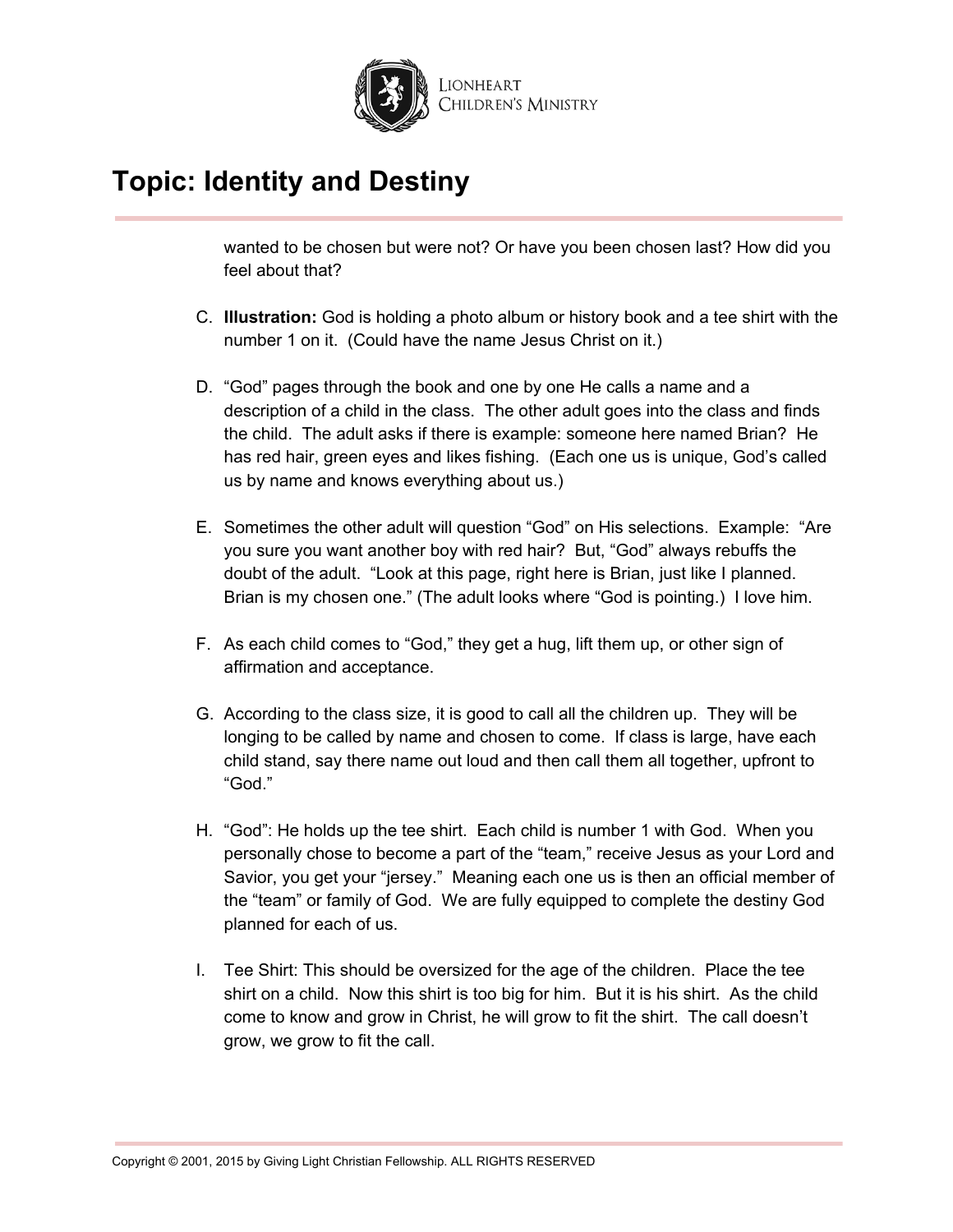

wanted to be chosen but were not? Or have you been chosen last? How did you feel about that?

- C. **Illustration:** God is holding a photo album or history book and a tee shirt with the number 1 on it. (Could have the name Jesus Christ on it.)
- D. "God" pages through the book and one by one He calls a name and a description of a child in the class. The other adult goes into the class and finds the child. The adult asks if there is example: someone here named Brian? He has red hair, green eyes and likes fishing. (Each one us is unique, God's called us by name and knows everything about us.)
- E. Sometimes the other adult will question "God" on His selections. Example: "Are you sure you want another boy with red hair? But, "God" always rebuffs the doubt of the adult. "Look at this page, right here is Brian, just like I planned. Brian is my chosen one." (The adult looks where "God is pointing.) I love him.
- F. As each child comes to "God," they get a hug, lift them up, or other sign of affirmation and acceptance.
- G. According to the class size, it is good to call all the children up. They will be longing to be called by name and chosen to come. If class is large, have each child stand, say there name out loud and then call them all together, upfront to "God."
- H. "God": He holds up the tee shirt. Each child is number 1 with God. When you personally chose to become a part of the "team," receive Jesus as your Lord and Savior, you get your "jersey." Meaning each one us is then an official member of the "team" or family of God. We are fully equipped to complete the destiny God planned for each of us.
- I. Tee Shirt: This should be oversized for the age of the children. Place the tee shirt on a child. Now this shirt is too big for him. But it is his shirt. As the child come to know and grow in Christ, he will grow to fit the shirt. The call doesn't grow, we grow to fit the call.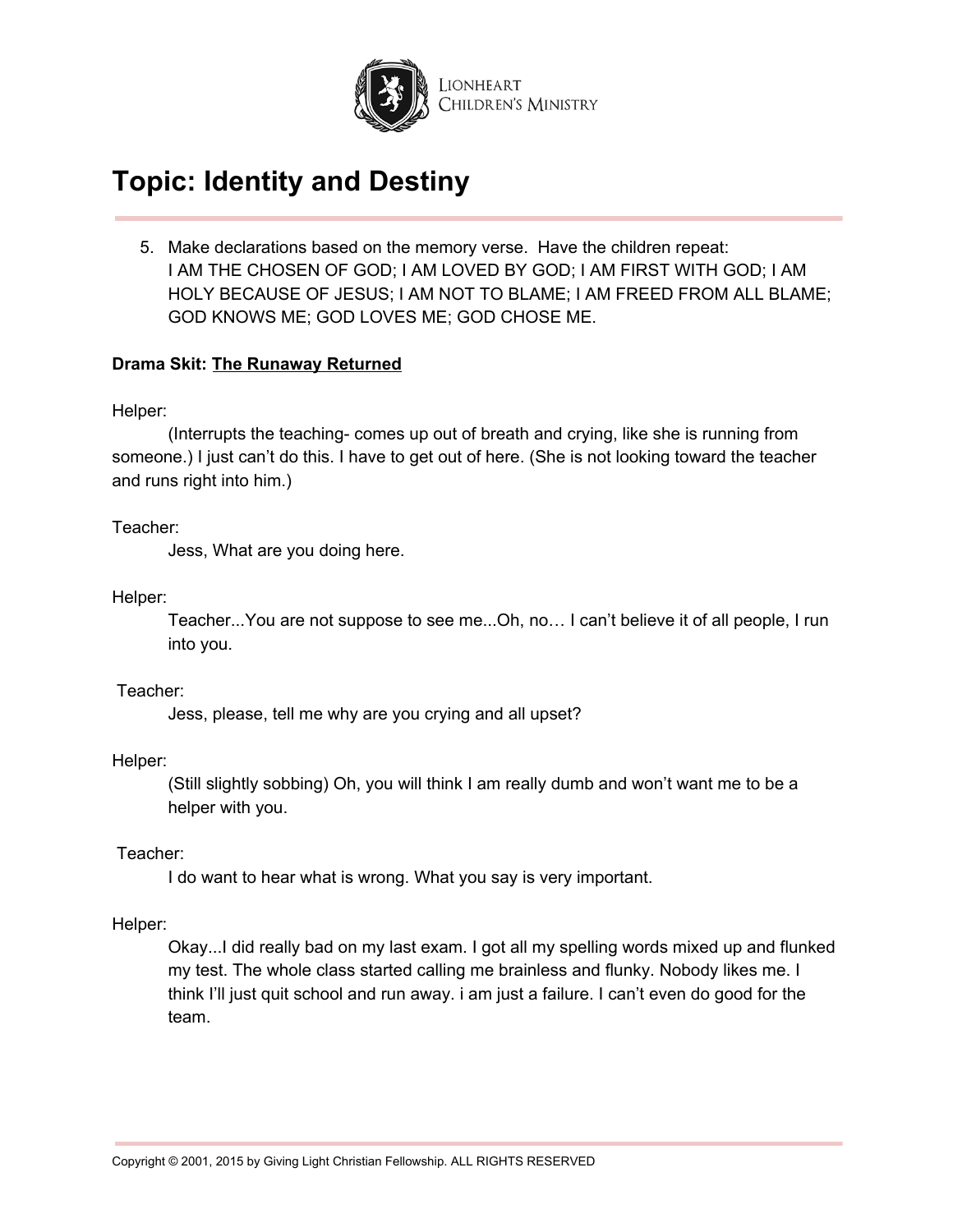

5. Make declarations based on the memory verse. Have the children repeat: I AM THE CHOSEN OF GOD; I AM LOVED BY GOD; I AM FIRST WITH GOD; I AM HOLY BECAUSE OF JESUS; I AM NOT TO BLAME; I AM FREED FROM ALL BLAME; GOD KNOWS ME; GOD LOVES ME; GOD CHOSE ME.

### **Drama Skit: The Runaway Returned**

Helper:

(Interrupts the teaching- comes up out of breath and crying, like she is running from someone.) I just can't do this. I have to get out of here. (She is not looking toward the teacher and runs right into him.)

Teacher:

Jess, What are you doing here.

Helper:

Teacher...You are not suppose to see me...Oh, no… I can't believe it of all people, I run into you.

Teacher:

Jess, please, tell me why are you crying and all upset?

Helper:

(Still slightly sobbing) Oh, you will think I am really dumb and won't want me to be a helper with you.

Teacher:

I do want to hear what is wrong. What you say is very important.

Helper:

Okay...I did really bad on my last exam. I got all my spelling words mixed up and flunked my test. The whole class started calling me brainless and flunky. Nobody likes me. I think I'll just quit school and run away. i am just a failure. I can't even do good for the team.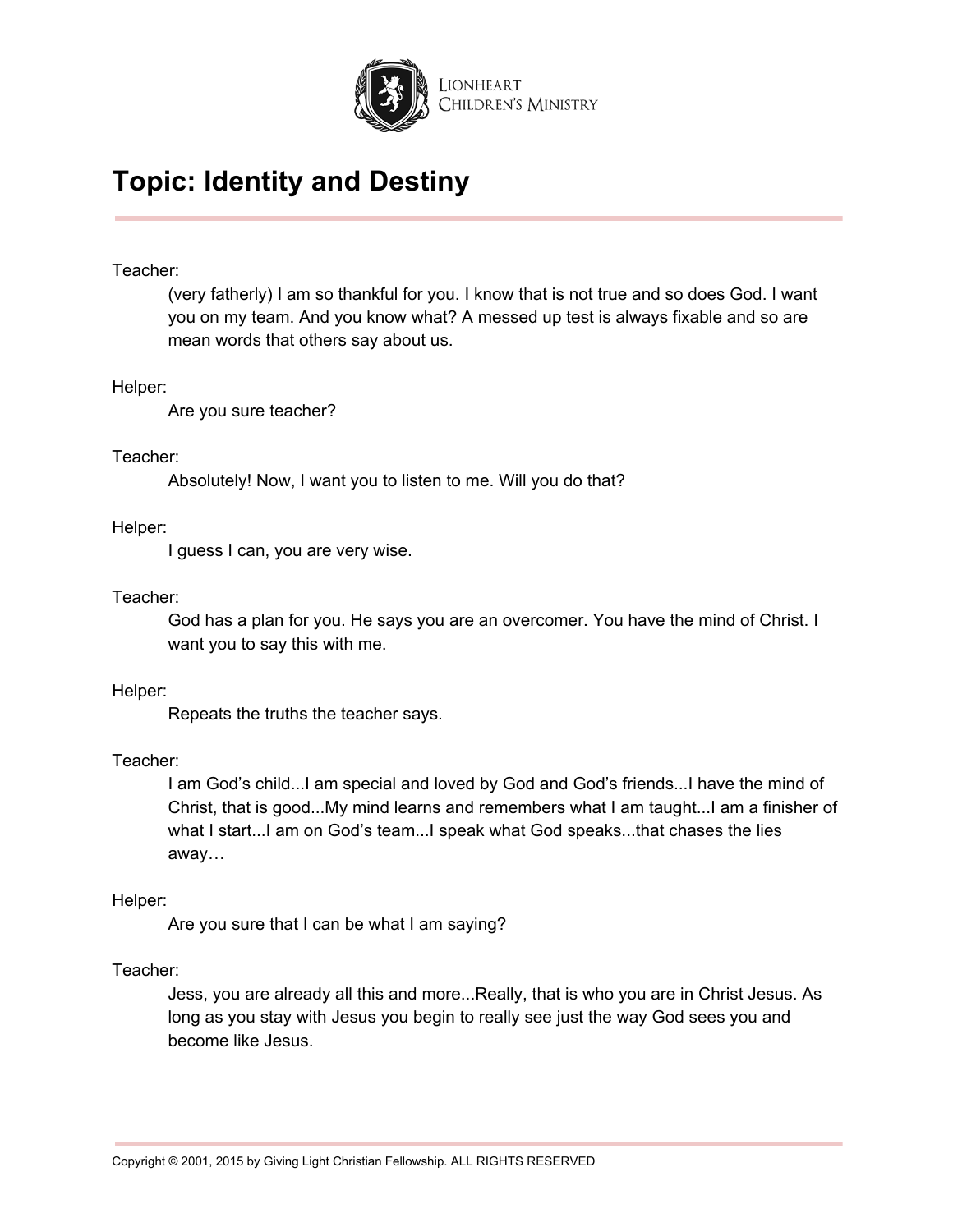

### Teacher:

(very fatherly) I am so thankful for you. I know that is not true and so does God. I want you on my team. And you know what? A messed up test is always fixable and so are mean words that others say about us.

### Helper:

Are you sure teacher?

### Teacher:

Absolutely! Now, I want you to listen to me. Will you do that?

### Helper:

I guess I can, you are very wise.

### Teacher:

God has a plan for you. He says you are an overcomer. You have the mind of Christ. I want you to say this with me.

#### Helper:

Repeats the truths the teacher says.

### Teacher:

I am God's child...I am special and loved by God and God's friends...I have the mind of Christ, that is good...My mind learns and remembers what I am taught...I am a finisher of what I start...I am on God's team...I speak what God speaks...that chases the lies away…

### Helper:

Are you sure that I can be what I am saying?

### Teacher:

Jess, you are already all this and more...Really, that is who you are in Christ Jesus. As long as you stay with Jesus you begin to really see just the way God sees you and become like Jesus.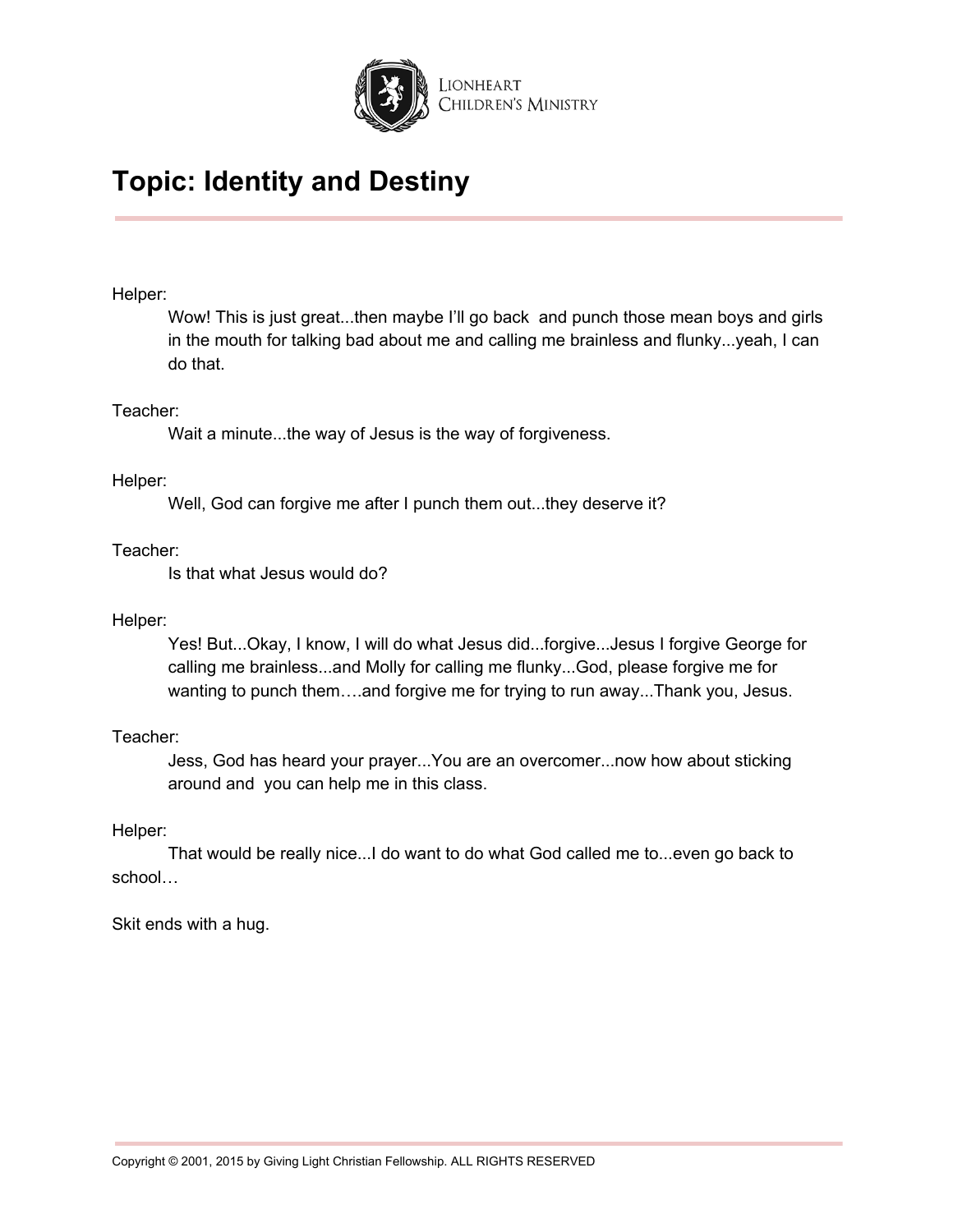

### Helper:

Wow! This is just great...then maybe I'll go back and punch those mean boys and girls in the mouth for talking bad about me and calling me brainless and flunky...yeah, I can do that.

### Teacher:

Wait a minute...the way of Jesus is the way of forgiveness.

### Helper:

Well, God can forgive me after I punch them out...they deserve it?

### Teacher:

Is that what Jesus would do?

### Helper:

Yes! But...Okay, I know, I will do what Jesus did...forgive...Jesus I forgive George for calling me brainless...and Molly for calling me flunky...God, please forgive me for wanting to punch them….and forgive me for trying to run away...Thank you, Jesus.

## Teacher:

Jess, God has heard your prayer...You are an overcomer...now how about sticking around and you can help me in this class.

### Helper:

That would be really nice...I do want to do what God called me to...even go back to school…

Skit ends with a hug.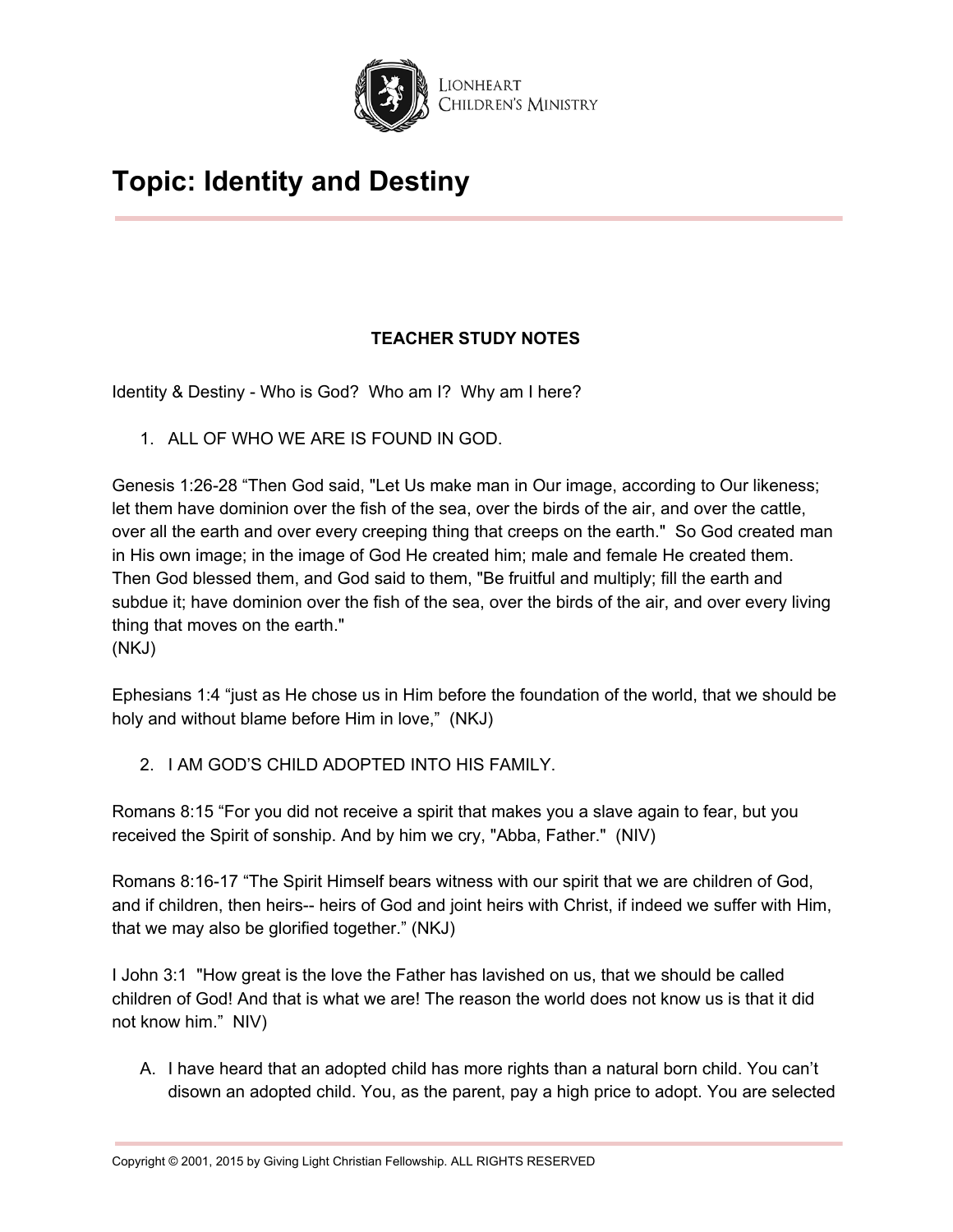

## **TEACHER STUDY NOTES**

Identity & Destiny - Who is God? Who am I? Why am I here?

1. ALL OF WHO WE ARE IS FOUND IN GOD.

Genesis 1:26-28 "Then God said, "Let Us make man in Our image, according to Our likeness; let them have dominion over the fish of the sea, over the birds of the air, and over the cattle, over all the earth and over every creeping thing that creeps on the earth." So God created man in His own image; in the image of God He created him; male and female He created them. Then God blessed them, and God said to them, "Be fruitful and multiply; fill the earth and subdue it; have dominion over the fish of the sea, over the birds of the air, and over every living thing that moves on the earth." (NKJ)

Ephesians 1:4 "just as He chose us in Him before the foundation of the world, that we should be holy and without blame before Him in love," (NKJ)

2. I AM GOD'S CHILD ADOPTED INTO HIS FAMILY.

Romans 8:15 "For you did not receive a spirit that makes you a slave again to fear, but you received the Spirit of sonship. And by him we cry, "Abba, Father." (NIV)

Romans 8:16-17 "The Spirit Himself bears witness with our spirit that we are children of God, and if children, then heirs-- heirs of God and joint heirs with Christ, if indeed we suffer with Him, that we may also be glorified together." (NKJ)

I John 3:1 "How great is the love the Father has lavished on us, that we should be called children of God! And that is what we are! The reason the world does not know us is that it did not know him." NIV)

A. I have heard that an adopted child has more rights than a natural born child. You can't disown an adopted child. You, as the parent, pay a high price to adopt. You are selected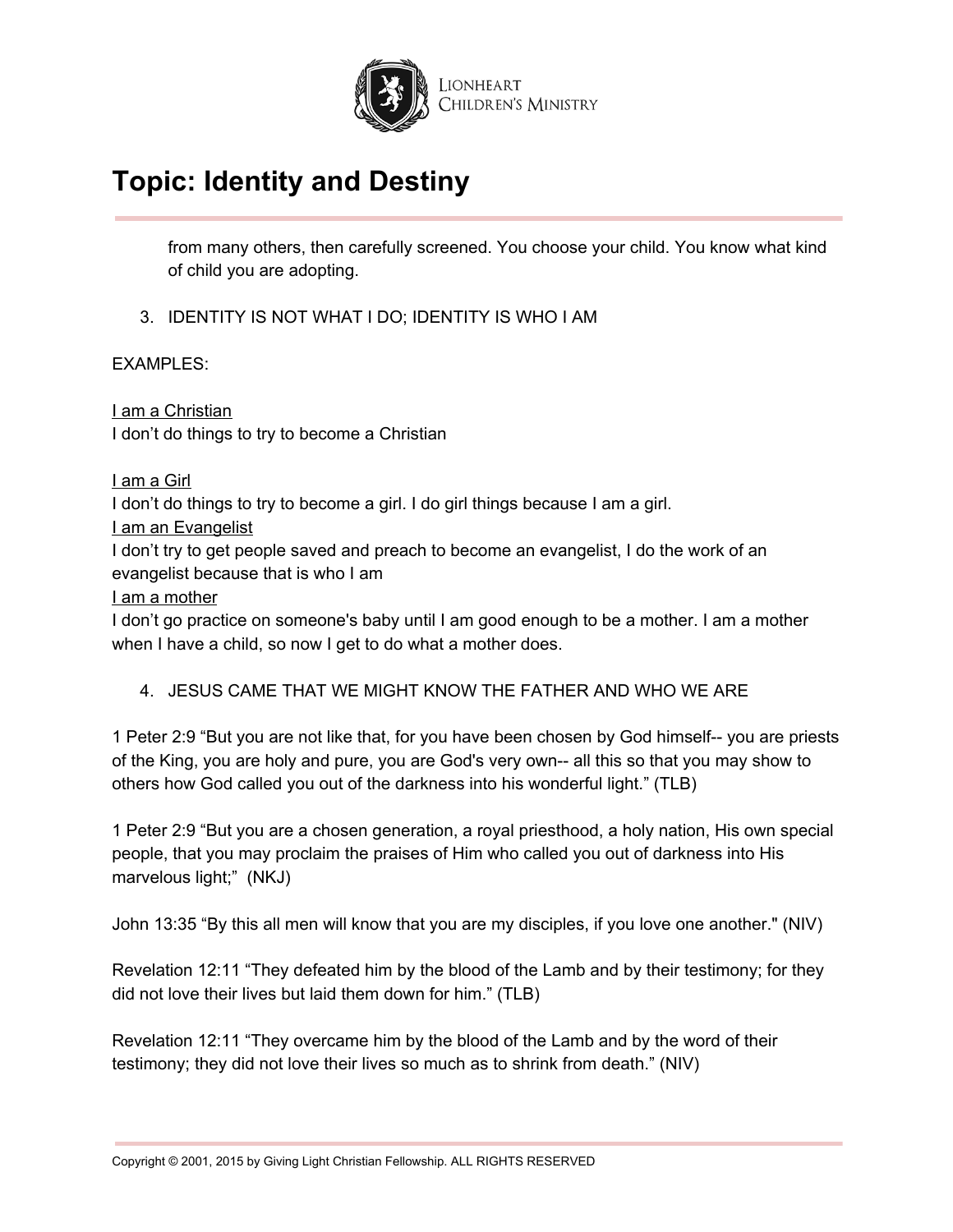

from many others, then carefully screened. You choose your child. You know what kind of child you are adopting.

3. IDENTITY IS NOT WHAT I DO; IDENTITY IS WHO I AM

EXAMPLES:

I am a Christian I don't do things to try to become a Christian

I am a Girl

I don't do things to try to become a girl. I do girl things because I am a girl.

I am an Evangelist

I don't try to get people saved and preach to become an evangelist, I do the work of an evangelist because that is who I am

I am a mother

I don't go practice on someone's baby until I am good enough to be a mother. I am a mother when I have a child, so now I get to do what a mother does.

## 4. JESUS CAME THAT WE MIGHT KNOW THE FATHER AND WHO WE ARE

1 Peter 2:9 "But you are not like that, for you have been chosen by God himself-- you are priests of the King, you are holy and pure, you are God's very own-- all this so that you may show to others how God called you out of the darkness into his wonderful light." (TLB)

1 Peter 2:9 "But you are a chosen generation, a royal priesthood, a holy nation, His own special people, that you may proclaim the praises of Him who called you out of darkness into His marvelous light;" (NKJ)

John 13:35 "By this all men will know that you are my disciples, if you love one another." (NIV)

Revelation 12:11 "They defeated him by the blood of the Lamb and by their testimony; for they did not love their lives but laid them down for him." (TLB)

Revelation 12:11 "They overcame him by the blood of the Lamb and by the word of their testimony; they did not love their lives so much as to shrink from death." (NIV)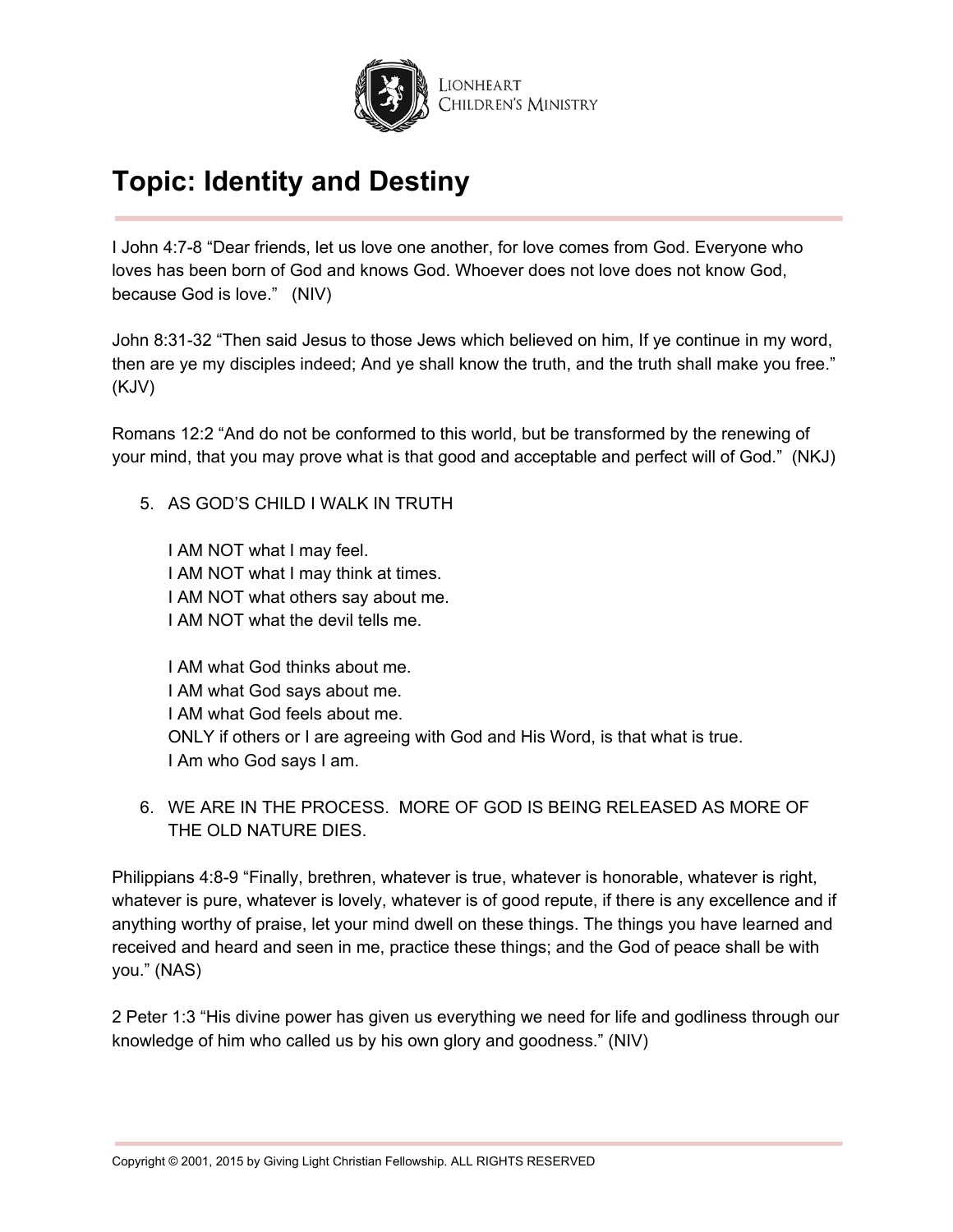

I John 4:7-8 "Dear friends, let us love one another, for love comes from God. Everyone who loves has been born of God and knows God. Whoever does not love does not know God, because God is love." (NIV)

John 8:31-32 "Then said Jesus to those Jews which believed on him, If ye continue in my word, then are ye my disciples indeed; And ye shall know the truth, and the truth shall make you free." (KJV)

Romans 12:2 "And do not be conformed to this world, but be transformed by the renewing of your mind, that you may prove what is that good and acceptable and perfect will of God." (NKJ)

5. AS GOD'S CHILD I WALK IN TRUTH

I AM NOT what I may feel. I AM NOT what I may think at times. I AM NOT what others say about me. I AM NOT what the devil tells me.

I AM what God thinks about me. I AM what God says about me. I AM what God feels about me. ONLY if others or I are agreeing with God and His Word, is that what is true. I Am who God says I am.

6. WE ARE IN THE PROCESS. MORE OF GOD IS BEING RELEASED AS MORE OF THE OLD NATURE DIES.

Philippians 4:8-9 "Finally, brethren, whatever is true, whatever is honorable, whatever is right, whatever is pure, whatever is lovely, whatever is of good repute, if there is any excellence and if anything worthy of praise, let your mind dwell on these things. The things you have learned and received and heard and seen in me, practice these things; and the God of peace shall be with you." (NAS)

2 Peter 1:3 "His divine power has given us everything we need for life and godliness through our knowledge of him who called us by his own glory and goodness." (NIV)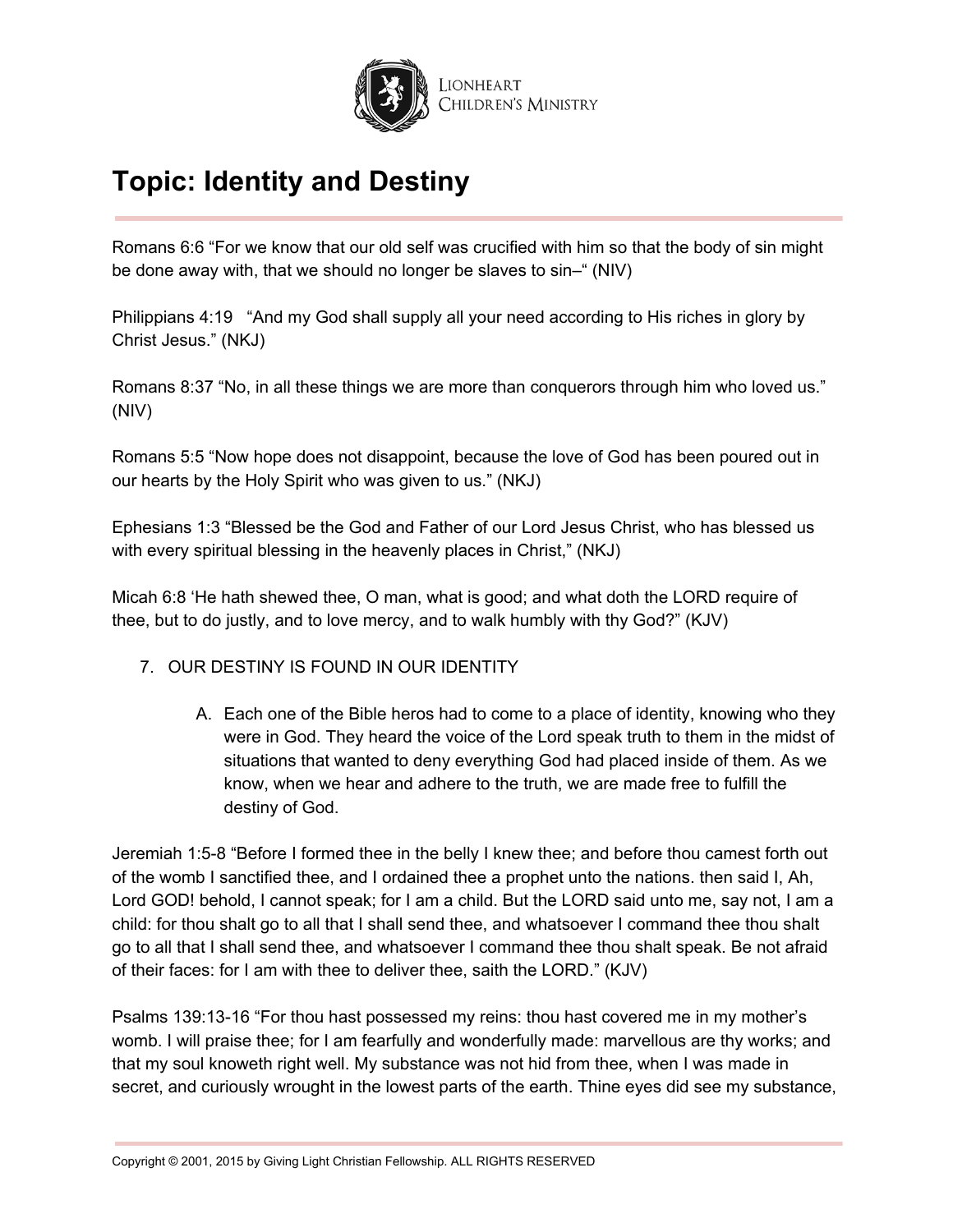

Romans 6:6 "For we know that our old self was crucified with him so that the body of sin might be done away with, that we should no longer be slaves to sin–" (NIV)

Philippians 4:19 "And my God shall supply all your need according to His riches in glory by Christ Jesus." (NKJ)

Romans 8:37 "No, in all these things we are more than conquerors through him who loved us." (NIV)

Romans 5:5 "Now hope does not disappoint, because the love of God has been poured out in our hearts by the Holy Spirit who was given to us." (NKJ)

Ephesians 1:3 "Blessed be the God and Father of our Lord Jesus Christ, who has blessed us with every spiritual blessing in the heavenly places in Christ," (NKJ)

Micah 6:8 'He hath shewed thee, O man, what is good; and what doth the LORD require of thee, but to do justly, and to love mercy, and to walk humbly with thy God?" (KJV)

## 7. OUR DESTINY IS FOUND IN OUR IDENTITY

A. Each one of the Bible heros had to come to a place of identity, knowing who they were in God. They heard the voice of the Lord speak truth to them in the midst of situations that wanted to deny everything God had placed inside of them. As we know, when we hear and adhere to the truth, we are made free to fulfill the destiny of God.

Jeremiah 1:5-8 "Before I formed thee in the belly I knew thee; and before thou camest forth out of the womb I sanctified thee, and I ordained thee a prophet unto the nations. then said I, Ah, Lord GOD! behold, I cannot speak; for I am a child. But the LORD said unto me, say not, I am a child: for thou shalt go to all that I shall send thee, and whatsoever I command thee thou shalt go to all that I shall send thee, and whatsoever I command thee thou shalt speak. Be not afraid of their faces: for I am with thee to deliver thee, saith the LORD." (KJV)

Psalms 139:13-16 "For thou hast possessed my reins: thou hast covered me in my mother's womb. I will praise thee; for I am fearfully and wonderfully made: marvellous are thy works; and that my soul knoweth right well. My substance was not hid from thee, when I was made in secret, and curiously wrought in the lowest parts of the earth. Thine eyes did see my substance,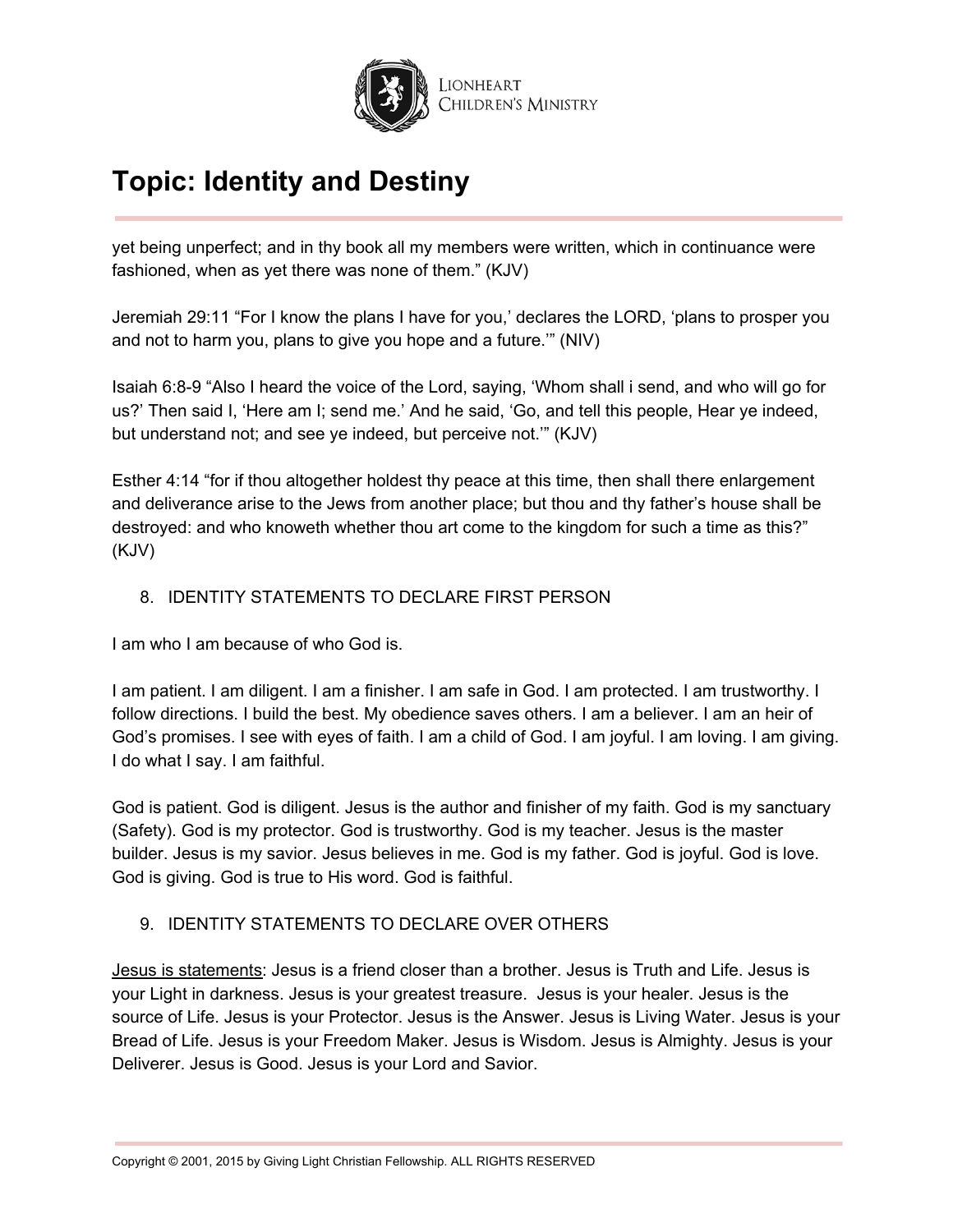

yet being unperfect; and in thy book all my members were written, which in continuance were fashioned, when as yet there was none of them." (KJV)

Jeremiah 29:11 "For I know the plans I have for you,' declares the LORD, 'plans to prosper you and not to harm you, plans to give you hope and a future.'" (NIV)

Isaiah 6:8-9 "Also I heard the voice of the Lord, saying, 'Whom shall i send, and who will go for us?' Then said I, 'Here am I; send me.' And he said, 'Go, and tell this people, Hear ye indeed, but understand not; and see ye indeed, but perceive not.'" (KJV)

Esther 4:14 "for if thou altogether holdest thy peace at this time, then shall there enlargement and deliverance arise to the Jews from another place; but thou and thy father's house shall be destroyed: and who knoweth whether thou art come to the kingdom for such a time as this?" (KJV)

## 8. IDENTITY STATEMENTS TO DECLARE FIRST PERSON

I am who I am because of who God is.

I am patient. I am diligent. I am a finisher. I am safe in God. I am protected. I am trustworthy. I follow directions. I build the best. My obedience saves others. I am a believer. I am an heir of God's promises. I see with eyes of faith. I am a child of God. I am joyful. I am loving. I am giving. I do what I say. I am faithful.

God is patient. God is diligent. Jesus is the author and finisher of my faith. God is my sanctuary (Safety). God is my protector. God is trustworthy. God is my teacher. Jesus is the master builder. Jesus is my savior. Jesus believes in me. God is my father. God is joyful. God is love. God is giving. God is true to His word. God is faithful.

## 9. IDENTITY STATEMENTS TO DECLARE OVER OTHERS

Jesus is statements: Jesus is a friend closer than a brother. Jesus is Truth and Life. Jesus is your Light in darkness. Jesus is your greatest treasure. Jesus is your healer. Jesus is the source of Life. Jesus is your Protector. Jesus is the Answer. Jesus is Living Water. Jesus is your Bread of Life. Jesus is your Freedom Maker. Jesus is Wisdom. Jesus is Almighty. Jesus is your Deliverer. Jesus is Good. Jesus is your Lord and Savior.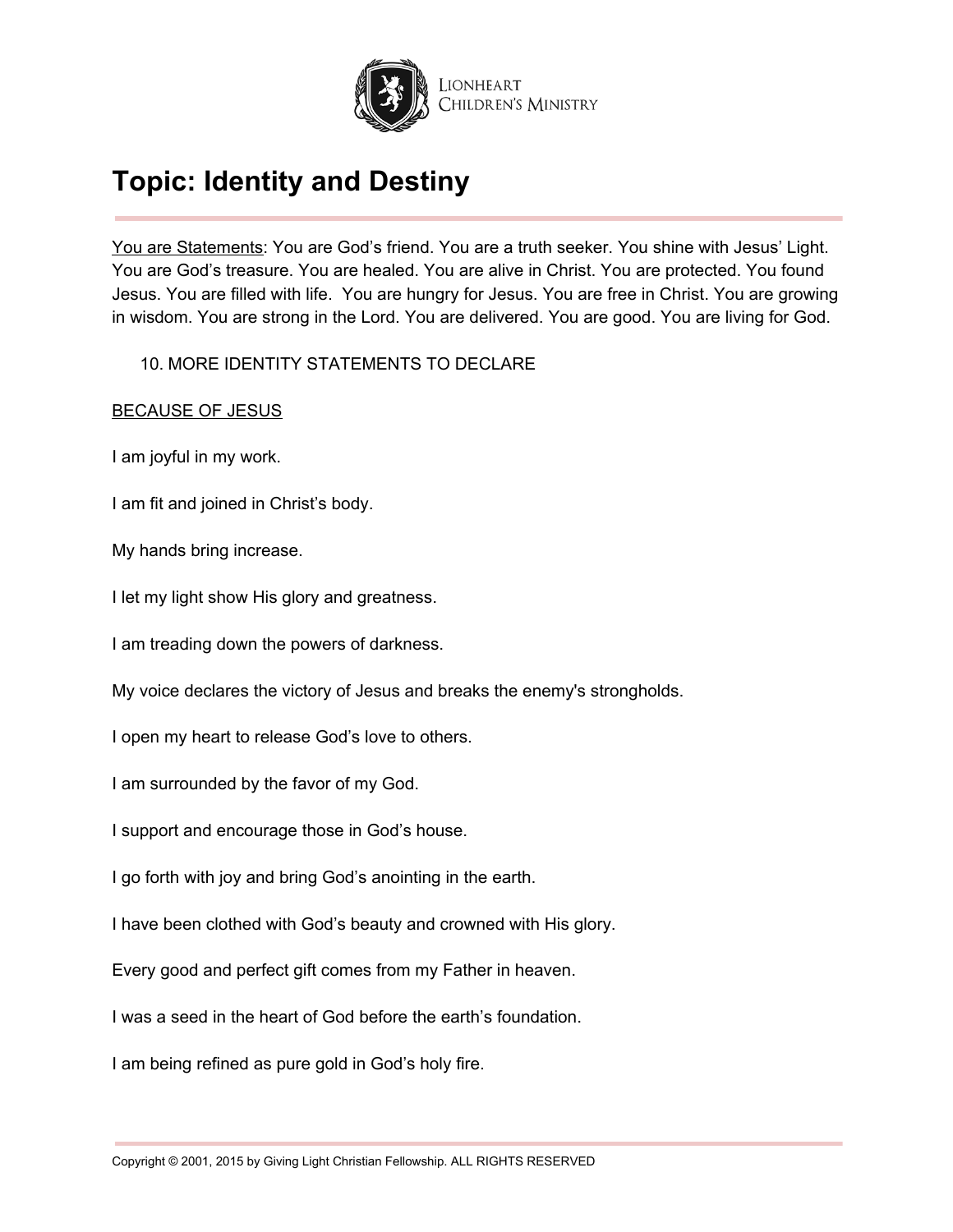

You are Statements: You are God's friend. You are a truth seeker. You shine with Jesus' Light. You are God's treasure. You are healed. You are alive in Christ. You are protected. You found Jesus. You are filled with life. You are hungry for Jesus. You are free in Christ. You are growing in wisdom. You are strong in the Lord. You are delivered. You are good. You are living for God.

### 10. MORE IDENTITY STATEMENTS TO DECLARE

### BECAUSE OF JESUS

I am joyful in my work.

I am fit and joined in Christ's body.

My hands bring increase.

I let my light show His glory and greatness.

I am treading down the powers of darkness.

My voice declares the victory of Jesus and breaks the enemy's strongholds.

I open my heart to release God's love to others.

I am surrounded by the favor of my God.

I support and encourage those in God's house.

I go forth with joy and bring God's anointing in the earth.

I have been clothed with God's beauty and crowned with His glory.

Every good and perfect gift comes from my Father in heaven.

I was a seed in the heart of God before the earth's foundation.

I am being refined as pure gold in God's holy fire.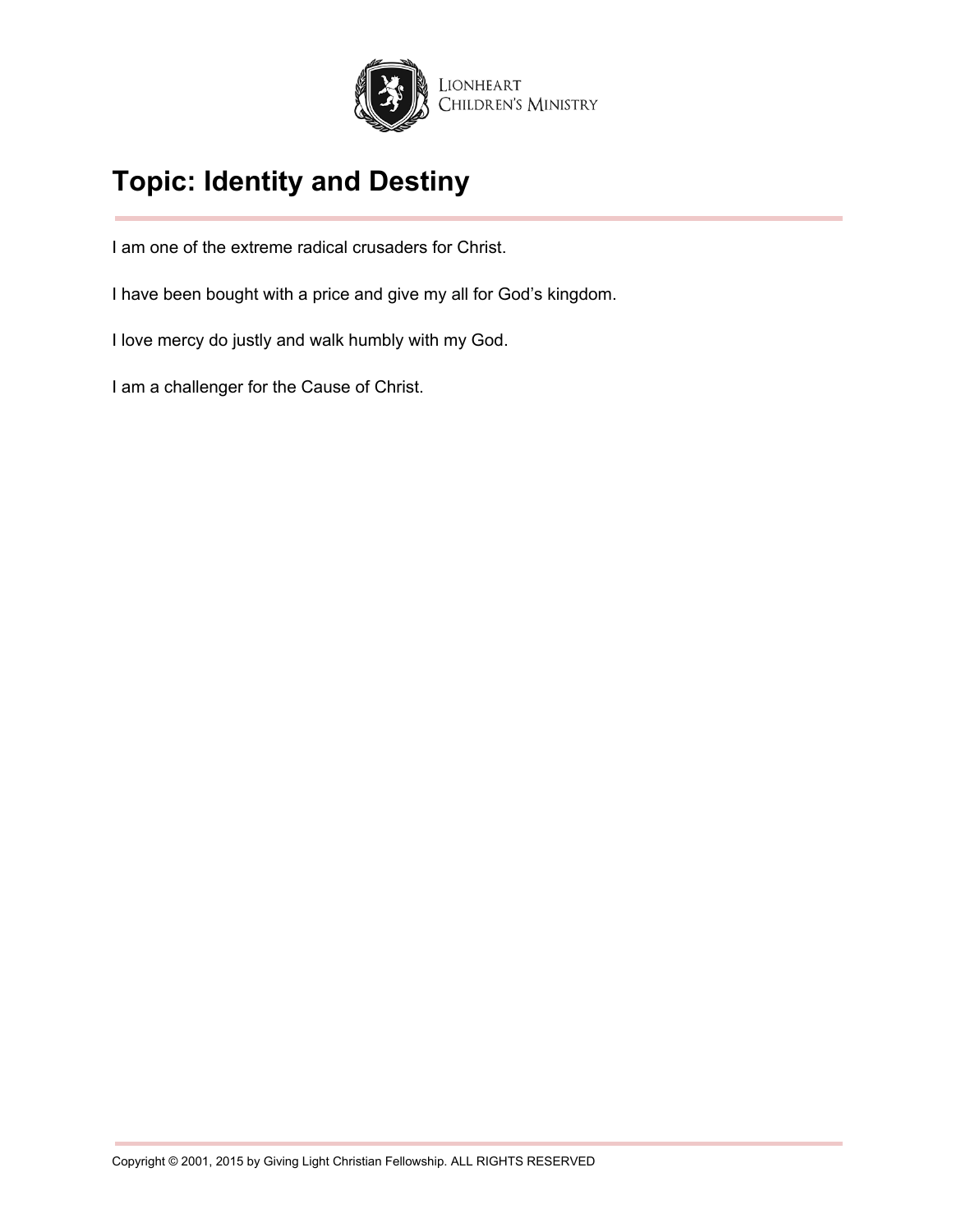

I am one of the extreme radical crusaders for Christ.

I have been bought with a price and give my all for God's kingdom.

I love mercy do justly and walk humbly with my God.

I am a challenger for the Cause of Christ.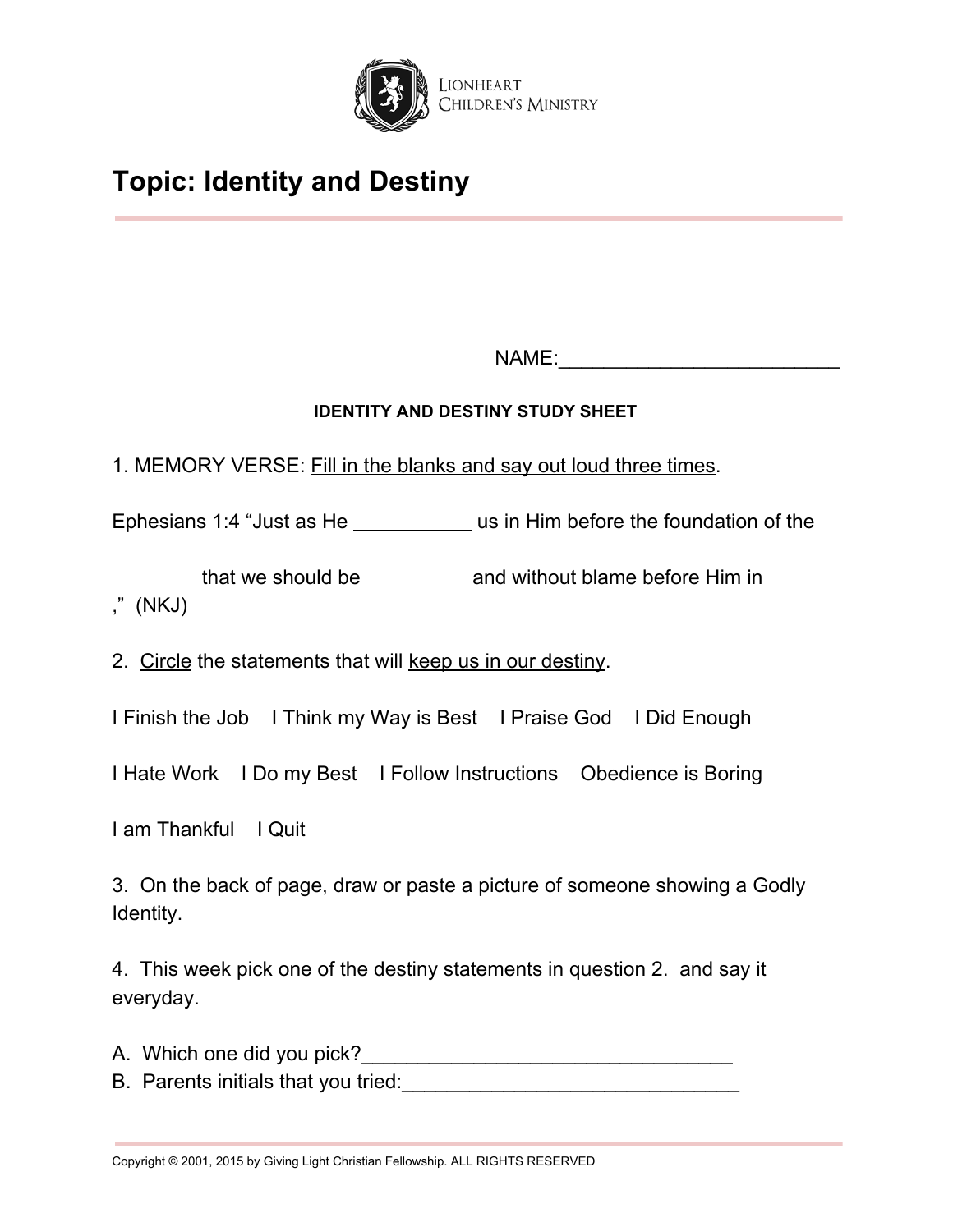

NAME:\_\_\_\_\_\_\_\_\_\_\_\_\_\_\_\_\_\_\_\_\_\_\_\_\_

## **IDENTITY AND DESTINY STUDY SHEET**

1. MEMORY VERSE: Fill in the blanks and say out loud three times.

Ephesians 1:4 "Just as He us in Him before the foundation of the

that we should be \_\_\_\_\_\_\_\_\_\_\_ and without blame before Him in ," (NKJ)

2. Circle the statements that will keep us in our destiny.

I Finish the Job I Think my Way is Best I Praise God I Did Enough

I Hate Work I Do my Best I Follow Instructions Obedience is Boring

I am Thankful I Quit

3. On the back of page, draw or paste a picture of someone showing a Godly Identity.

4. This week pick one of the destiny statements in question 2. and say it everyday.

A. Which one did you pick?\_\_\_\_\_\_\_\_\_\_\_\_\_\_\_\_\_\_\_\_\_\_\_\_\_\_\_\_\_\_\_\_\_

B. Parents initials that you tried: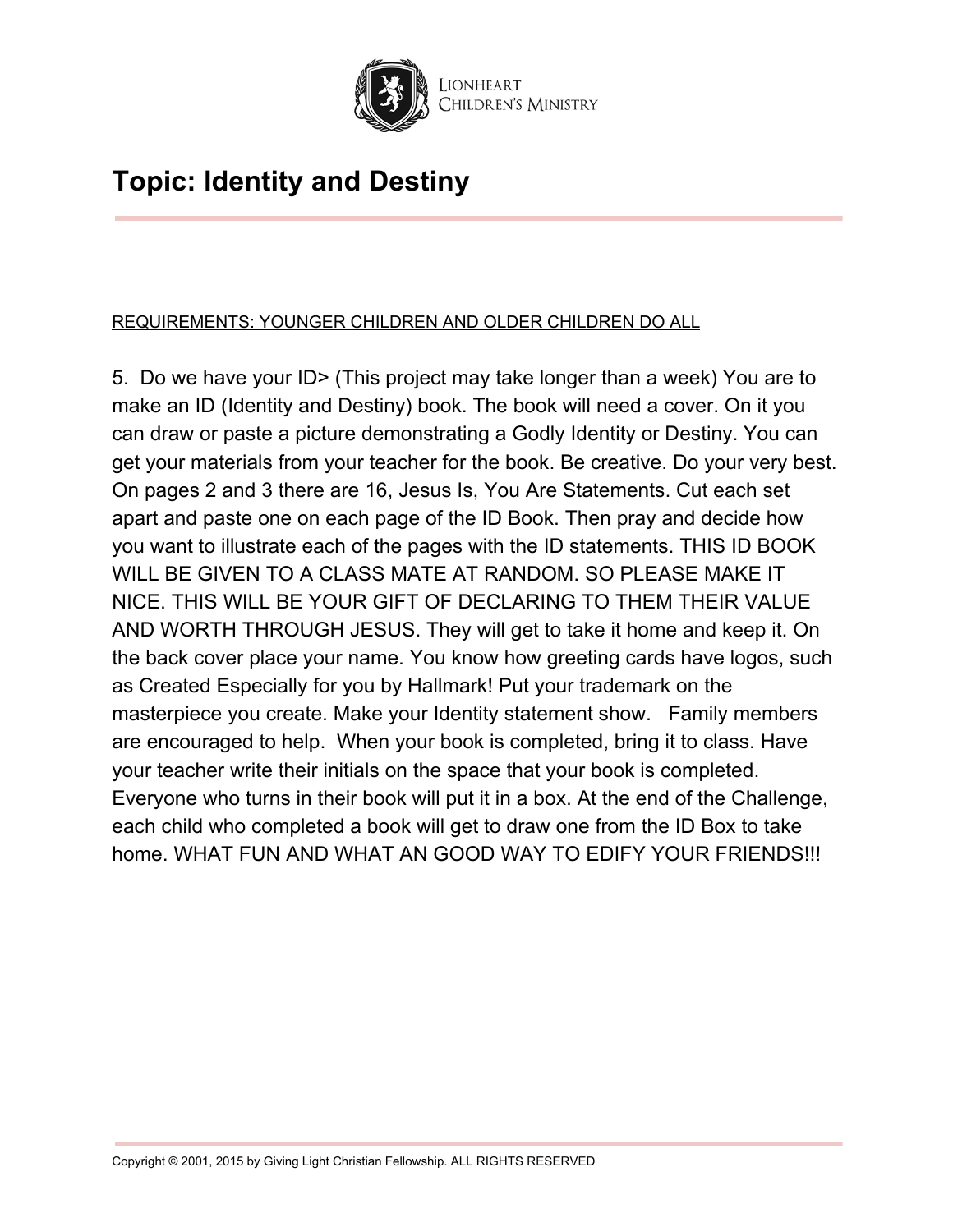

## REQUIREMENTS: YOUNGER CHILDREN AND OLDER CHILDREN DO ALL

5. Do we have your ID> (This project may take longer than a week) You are to make an ID (Identity and Destiny) book. The book will need a cover. On it you can draw or paste a picture demonstrating a Godly Identity or Destiny. You can get your materials from your teacher for the book. Be creative. Do your very best. On pages 2 and 3 there are 16, Jesus Is, You Are Statements. Cut each set apart and paste one on each page of the ID Book. Then pray and decide how you want to illustrate each of the pages with the ID statements. THIS ID BOOK WILL BE GIVEN TO A CLASS MATE AT RANDOM. SO PLEASE MAKE IT NICE. THIS WILL BE YOUR GIFT OF DECLARING TO THEM THEIR VALUE AND WORTH THROUGH JESUS. They will get to take it home and keep it. On the back cover place your name. You know how greeting cards have logos, such as Created Especially for you by Hallmark! Put your trademark on the masterpiece you create. Make your Identity statement show. Family members are encouraged to help. When your book is completed, bring it to class. Have your teacher write their initials on the space that your book is completed. Everyone who turns in their book will put it in a box. At the end of the Challenge, each child who completed a book will get to draw one from the ID Box to take home. WHAT FUN AND WHAT AN GOOD WAY TO EDIFY YOUR FRIENDS!!!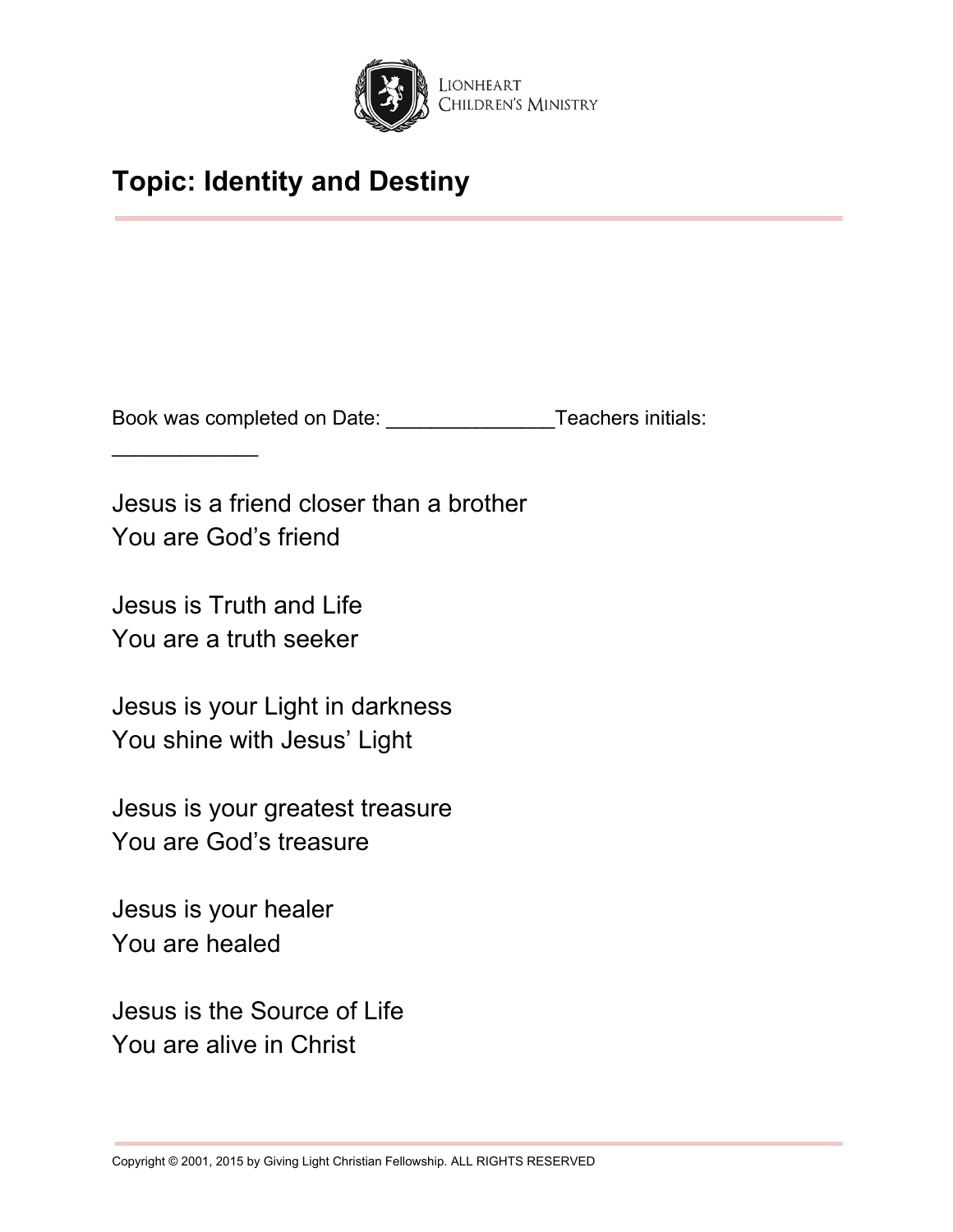

Book was completed on Date: \_\_\_\_\_\_\_\_\_\_\_\_\_\_\_Teachers initials:

Jesus is a friend closer than a brother You are God's friend

Jesus is Truth and Life You are a truth seeker

 $\frac{1}{2}$  ,  $\frac{1}{2}$  ,  $\frac{1}{2}$  ,  $\frac{1}{2}$  ,  $\frac{1}{2}$  ,  $\frac{1}{2}$  ,  $\frac{1}{2}$ 

Jesus is your Light in darkness You shine with Jesus' Light

Jesus is your greatest treasure You are God's treasure

Jesus is your healer You are healed

Jesus is the Source of Life You are alive in Christ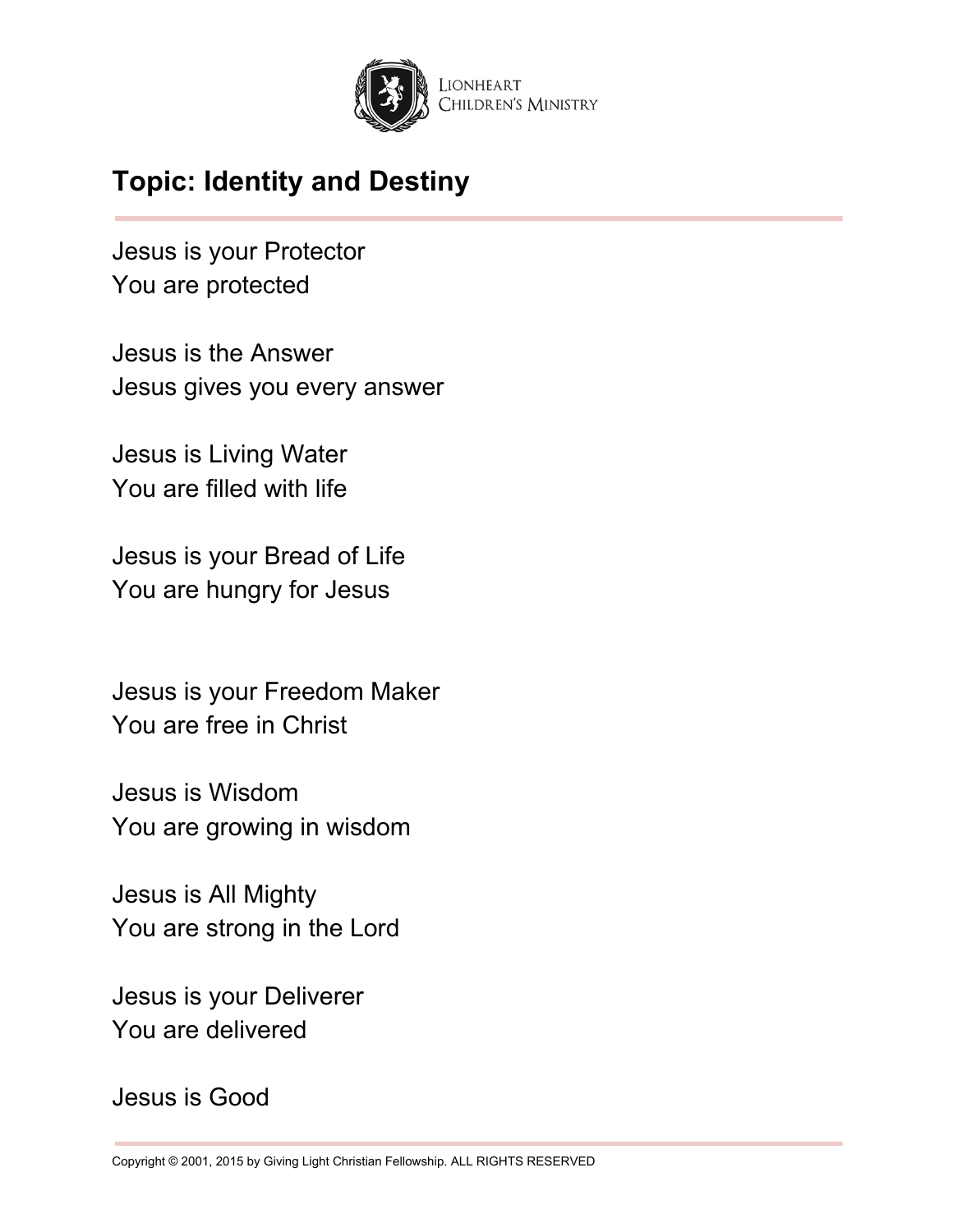

Jesus is your Protector You are protected

Jesus is the Answer Jesus gives you every answer

Jesus is Living Water You are filled with life

Jesus is your Bread of Life You are hungry for Jesus

Jesus is your Freedom Maker You are free in Christ

Jesus is Wisdom You are growing in wisdom

Jesus is All Mighty You are strong in the Lord

Jesus is your Deliverer You are delivered

Jesus is Good